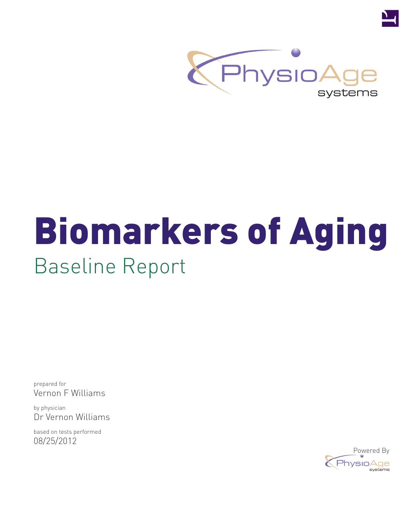

# Biomarkers of Aging Baseline Report

prepared for Vernon F Williams

by physician Dr Vernon Williams

based on tests performed 08/25/2012

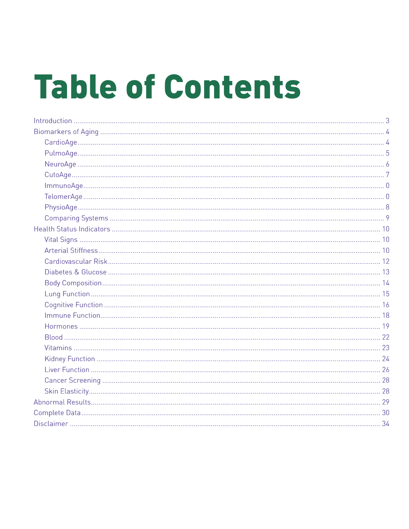# **Table of Contents**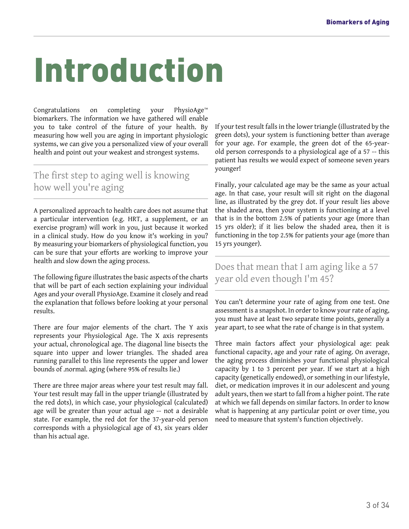# <span id="page-2-0"></span>Introduction

Congratulations on completing your PhysioAge™ biomarkers. The information we have gathered will enable you to take control of the future of your health. By measuring how well you are aging in important physiologic systems, we can give you a personalized view of your overall health and point out your weakest and strongest systems.

#### The first step to aging well is knowing how well you're aging

A personalized approach to health care does not assume that a particular intervention (e.g. HRT, a supplement, or an exercise program) will work in you, just because it worked in a clinical study. How do you know it's working in you? By measuring your biomarkers of physiological function, you can be sure that your efforts are working to improve your health and slow down the aging process.

The following figure illustrates the basic aspects of the charts that will be part of each section explaining your individual Ages and your overall PhysioAge. Examine it closely and read the explanation that follows before looking at your personal results.

There are four major elements of the chart. The Y axis represents your Physiological Age. The X axis represents your actual, chronological age. The diagonal line bisects the square into upper and lower triangles. The shaded area running parallel to this line represents the upper and lower bounds of .normal. aging (where 95% of results lie.)

There are three major areas where your test result may fall. Your test result may fall in the upper triangle (illustrated by the red dots), in which case, your physiological (calculated) age will be greater than your actual age -- not a desirable state. For example, the red dot for the 37-year-old person corresponds with a physiological age of 43, six years older than his actual age.

If your test result falls in the lower triangle (illustrated by the green dots), your system is functioning better than average for your age. For example, the green dot of the 65-yearold person corresponds to a physiological age of a 57 -- this patient has results we would expect of someone seven years younger!

Finally, your calculated age may be the same as your actual age. In that case, your result will sit right on the diagonal line, as illustrated by the grey dot. If your result lies above the shaded area, then your system is functioning at a level that is in the bottom 2.5% of patients your age (more than 15 yrs older); if it lies below the shaded area, then it is functioning in the top 2.5% for patients your age (more than 15 yrs younger).

#### Does that mean that I am aging like a 57 year old even though I'm 45?

You can't determine your rate of aging from one test. One assessment is a snapshot. In order to know your rate of aging, you must have at least two separate time points, generally a year apart, to see what the rate of change is in that system.

Three main factors affect your physiological age: peak functional capacity, age and your rate of aging. On average, the aging process diminishes your functional physiological capacity by 1 to 3 percent per year. If we start at a high capacity (genetically endowed), or something in our lifestyle, diet, or medication improves it in our adolescent and young adult years, then we start to fall from a higher point. The rate at which we fall depends on similar factors. In order to know what is happening at any particular point or over time, you need to measure that system's function objectively.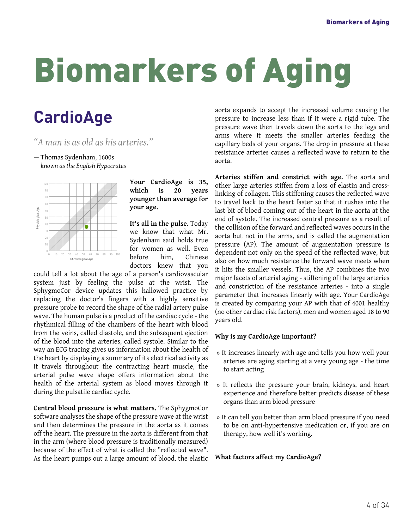## <span id="page-3-1"></span><span id="page-3-0"></span>**CardioAge**

- *"A man is as old as his arteries."*
- Thomas Sydenham, 1600s *known as the English Hypocrates*



**Your CardioAge is 35, which is 20 years younger than average for your age.**

**It's all in the pulse.** Today we know that what Mr. Sydenham said holds true for women as well. Even before him, Chinese doctors knew that you

could tell a lot about the age of a person's cardiovascular system just by feeling the pulse at the wrist. The SphygmoCor device updates this hallowed practice by replacing the doctor's fingers with a highly sensitive pressure probe to record the shape of the radial artery pulse wave. The human pulse is a product of the cardiac cycle - the rhythmical filling of the chambers of the heart with blood from the veins, called diastole, and the subsequent ejection of the blood into the arteries, called systole. Similar to the way an ECG tracing gives us information about the health of the heart by displaying a summary of its electrical activity as it travels throughout the contracting heart muscle, the arterial pulse wave shape offers information about the health of the arterial system as blood moves through it during the pulsatile cardiac cycle.

**Central blood pressure is what matters.** The SphygmoCor software analyses the shape of the pressure wave at the wrist and then determines the pressure in the aorta as it comes off the heart. The pressure in the aorta is different from that in the arm (where blood pressure is traditionally measured) because of the effect of what is called the "reflected wave". As the heart pumps out a large amount of blood, the elastic

aorta expands to accept the increased volume causing the pressure to increase less than if it were a rigid tube. The pressure wave then travels down the aorta to the legs and arms where it meets the smaller arteries feeding the capillary beds of your organs. The drop in pressure at these resistance arteries causes a reflected wave to return to the aorta.

**Arteries stiffen and constrict with age.** The aorta and other large arteries stiffen from a loss of elastin and crosslinking of collagen. This stiffening causes the reflected wave to travel back to the heart faster so that it rushes into the last bit of blood coming out of the heart in the aorta at the end of systole. The increased central pressure as a result of the collision of the forward and reflected waves occurs in the aorta but not in the arms, and is called the augmentation pressure (AP). The amount of augmentation pressure is dependent not only on the speed of the reflected wave, but also on how much resistance the forward wave meets when it hits the smaller vessels. Thus, the AP combines the two major facets of arterial aging - stiffening of the large arteries and constriction of the resistance arteries - into a single parameter that increases linearly with age. Your CardioAge is created by comparing your AP with that of 4001 healthy (no other cardiac risk factors), men and women aged 18 to 90 years old.

#### **Why is my CardioAge important?**

- » It increases linearly with age and tells you how well your arteries are aging starting at a very young age - the time to start acting
- » It reflects the pressure your brain, kidneys, and heart experience and therefore better predicts disease of these organs than arm blood pressure
- » It can tell you better than arm blood pressure if you need to be on anti-hypertensive medication or, if you are on therapy, how well it's working.

#### **What factors affect my CardioAge?**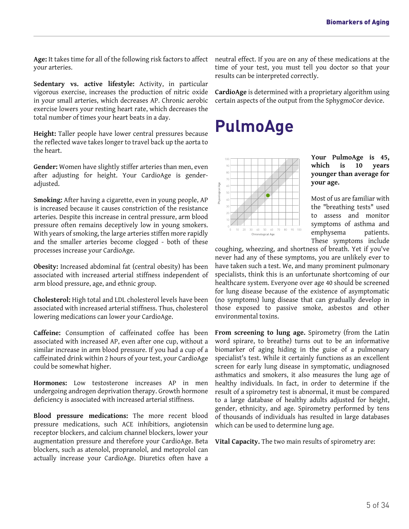**Age:** It takes time for all of the following risk factors to affect your arteries.

**Sedentary vs. active lifestyle:** Activity, in particular vigorous exercise, increases the production of nitric oxide in your small arteries, which decreases AP. Chronic aerobic exercise lowers your resting heart rate, which decreases the total number of times your heart beats in a day.

<span id="page-4-0"></span>**Height:** Taller people have lower central pressures because the reflected wave takes longer to travel back up the aorta to the heart.

**Gender:** Women have slightly stiffer arteries than men, even after adjusting for height. Your CardioAge is genderadjusted.

**Smoking:** After having a cigarette, even in young people, AP is increased because it causes constriction of the resistance arteries. Despite this increase in central pressure, arm blood pressure often remains deceptively low in young smokers. With years of smoking, the large arteries stiffen more rapidly and the smaller arteries become clogged - both of these processes increase your CardioAge.

**Obesity:** Increased abdominal fat (central obesity) has been associated with increased arterial stiffness independent of arm blood pressure, age, and ethnic group.

**Cholesterol:** High total and LDL cholesterol levels have been associated with increased arterial stiffness. Thus, cholesterol lowering medications can lower your CardioAge.

**Caffeine:** Consumption of caffeinated coffee has been associated with increased AP, even after one cup, without a similar increase in arm blood pressure. If you had a cup of a caffeinated drink within 2 hours of your test, your CardioAge could be somewhat higher.

**Hormones:** Low testosterone increases AP in men undergoing androgen deprivation therapy. Growth hormone deficiency is associated with increased arterial stiffness.

**Blood pressure medications:** The more recent blood pressure medications, such ACE inhibitiors, angiotensin receptor blockers, and calcium channel blockers, lower your augmentation pressure and therefore your CardioAge. Beta blockers, such as atenolol, propranolol, and metoprolol can actually increase your CardioAge. Diuretics often have a neutral effect. If you are on any of these medications at the time of your test, you must tell you doctor so that your results can be interpreted correctly.

**CardioAge** is determined with a proprietary algorithm using certain aspects of the output from the SphygmoCor device.

### **PulmoAge**



**Your PulmoAge is 45, which is 10 years younger than average for your age.**

Most of us are familiar with the "breathing tests" used to assess and monitor symptoms of asthma and emphysema patients. These symptoms include

coughing, wheezing, and shortness of breath. Yet if you've never had any of these symptoms, you are unlikely ever to have taken such a test. We, and many prominent pulmonary specialists, think this is an unfortunate shortcoming of our healthcare system. Everyone over age 40 should be screened for lung disease because of the existence of asymptomatic (no symptoms) lung disease that can gradually develop in those exposed to passive smoke, asbestos and other environmental toxins.

**From screening to lung age.** Spirometry (from the Latin word spirare, to breathe) turns out to be an informative biomarker of aging hiding in the guise of a pulmonary specialist's test. While it certainly functions as an excellent screen for early lung disease in symptomatic, undiagnosed asthmatics and smokers, it also measures the lung age of healthy individuals. In fact, in order to determine if the result of a spirometry test is abnormal, it must be compared to a large database of healthy adults adjusted for height, gender, ethnicity, and age. Spirometry performed by tens of thousands of individuals has resulted in large databases which can be used to determine lung age.

**Vital Capacity.** The two main results of spirometry are: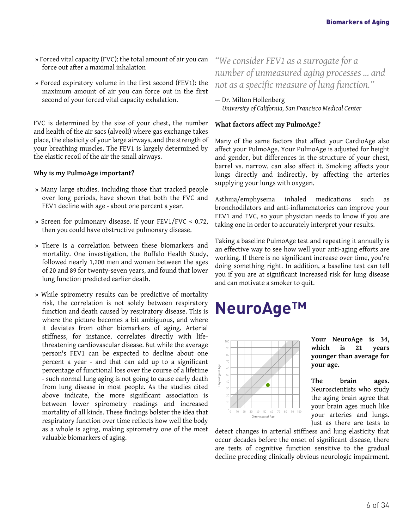- » Forced vital capacity (FVC): the total amount of air you can force out after a maximal inhalation
- » Forced expiratory volume in the first second (FEV1): the maximum amount of air you can force out in the first second of your forced vital capacity exhalation.

FVC is determined by the size of your chest, the number and health of the air sacs (alveoli) where gas exchange takes place, the elasticity of your large airways, and the strength of your breathing muscles. The FEV1 is largely determined by the elastic recoil of the air the small airways.

#### **Why is my PulmoAge important?**

- » Many large studies, including those that tracked people over long periods, have shown that both the FVC and FEV1 decline with age - about one percent a year.
- » Screen for pulmonary disease. If your FEV1/FVC < 0.72, then you could have obstructive pulmonary disease.
- » There is a correlation between these biomarkers and mortality. One investigation, the Buffalo Health Study, followed nearly 1,200 men and women between the ages of 20 and 89 for twenty-seven years, and found that lower lung function predicted earlier death.
- <span id="page-5-0"></span>» While spirometry results can be predictive of mortality risk, the correlation is not solely between respiratory function and death caused by respiratory disease. This is where the picture becomes a bit ambiguous, and where it deviates from other biomarkers of aging. Arterial stiffness, for instance, correlates directly with lifethreatening cardiovascular disease. But while the average person's FEV1 can be expected to decline about one percent a year - and that can add up to a significant percentage of functional loss over the course of a lifetime - such normal lung aging is not going to cause early death from lung disease in most people. As the studies cited above indicate, the more significant association is between lower spirometry readings and increased mortality of all kinds. These findings bolster the idea that respiratory function over time reflects how well the body as a whole is aging, making spirometry one of the most valuable biomarkers of aging.

#### *"We consider FEV1 as a surrogate for a number of unmeasured aging processes ... and not as a specific measure of lung function."*

— Dr. Milton Hollenberg *University of California, San Francisco Medical Center*

#### **What factors affect my PulmoAge?**

Many of the same factors that affect your CardioAge also affect your PulmoAge. Your PulmoAge is adjusted for height and gender, but differences in the structure of your chest, barrel vs. narrow, can also affect it. Smoking affects your lungs directly and indirectly, by affecting the arteries supplying your lungs with oxygen.

Asthma/emphysema inhaled medications such as bronchodilators and anti-inflammatories can improve your FEV1 and FVC, so your physician needs to know if you are taking one in order to accurately interpret your results.

Taking a baseline PulmoAge test and repeating it annually is an effective way to see how well your anti-aging efforts are working. If there is no significant increase over time, you're doing something right. In addition, a baseline test can tell you if you are at significant increased risk for lung disease and can motivate a smoker to quit.

### **NeuroAge™**



**Your NeuroAge is 34, which is 21 years younger than average for your age.**

**The brain ages.** Neuroscientists who study the aging brain agree that your brain ages much like your arteries and lungs. Just as there are tests to

detect changes in arterial stiffness and lung elasticity that occur decades before the onset of significant disease, there are tests of cognitive function sensitive to the gradual decline preceding clinically obvious neurologic impairment.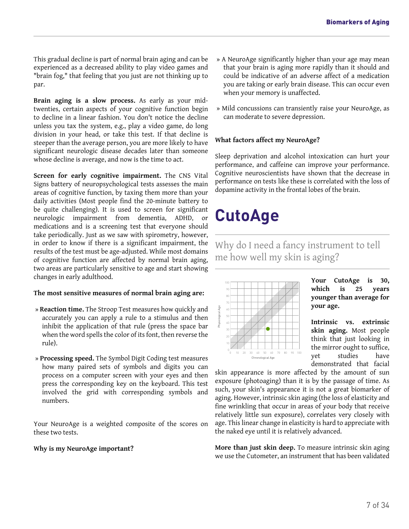This gradual decline is part of normal brain aging and can be experienced as a decreased ability to play video games and "brain fog," that feeling that you just are not thinking up to par.

**Brain aging is a slow process.** As early as your midtwenties, certain aspects of your cognitive function begin to decline in a linear fashion. You don't notice the decline unless you tax the system, e.g., play a video game, do long division in your head, or take this test. If that decline is steeper than the average person, you are more likely to have significant neurologic disease decades later than someone whose decline is average, and now is the time to act.

<span id="page-6-0"></span>**Screen for early cognitive impairment.** The CNS Vital Signs battery of neuropsychological tests assesses the main areas of cognitive function, by taxing them more than your daily activities (Most people find the 20-minute battery to be quite challenging). It is used to screen for significant neurologic impairment from dementia, ADHD, or medications and is a screening test that everyone should take periodically. Just as we saw with spirometry, however, in order to know if there is a significant impairment, the results of the test must be age-adjusted. While most domains of cognitive function are affected by normal brain aging, two areas are particularly sensitive to age and start showing changes in early adulthood.

#### **The most sensitive measures of normal brain aging are:**

- » **Reaction time.** The Stroop Test measures how quickly and accurately you can apply a rule to a stimulus and then inhibit the application of that rule (press the space bar when the word spells the color of its font, then reverse the rule).
- » **Processing speed.** The Symbol Digit Coding test measures how many paired sets of symbols and digits you can process on a computer screen with your eyes and then press the corresponding key on the keyboard. This test involved the grid with corresponding symbols and numbers.

Your NeuroAge is a weighted composite of the scores on these two tests.

#### **Why is my NeuroAge important?**

- » A NeuroAge significantly higher than your age may mean that your brain is aging more rapidly than it should and could be indicative of an adverse affect of a medication you are taking or early brain disease. This can occur even when your memory is unaffected.
- » Mild concussions can transiently raise your NeuroAge, as can moderate to severe depression.

#### **What factors affect my NeuroAge?**

Sleep deprivation and alcohol intoxication can hurt your performance, and caffeine can improve your performance. Cognitive neuroscientists have shown that the decrease in performance on tests like these is correlated with the loss of dopamine activity in the frontal lobes of the brain.

## **CutoAge**

Why do I need a fancy instrument to tell me how well my skin is aging?



**Your CutoAge is 30, which is 25 years younger than average for your age.**

**Intrinsic vs. extrinsic skin aging.** Most people think that just looking in the mirror ought to suffice, yet studies have demonstrated that facial

skin appearance is more affected by the amount of sun exposure (photoaging) than it is by the passage of time. As such, your skin's appearance it is not a great biomarker of aging. However, intrinsic skin aging (the loss of elasticity and fine wrinkling that occur in areas of your body that receive relatively little sun exposure), correlates very closely with age. This linear change in elasticity is hard to appreciate with the naked eye until it is relatively advanced.

**More than just skin deep.** To measure intrinsic skin aging we use the Cutometer, an instrument that has been validated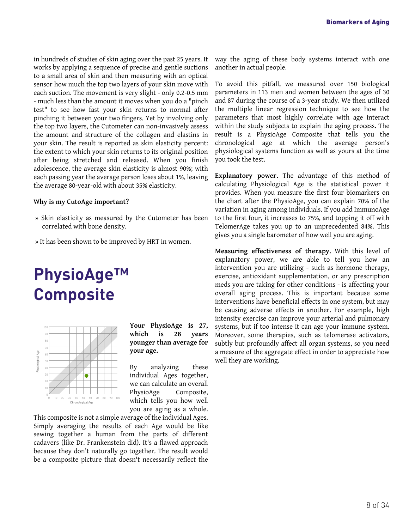in hundreds of studies of skin aging over the past 25 years. It works by applying a sequence of precise and gentle suctions to a small area of skin and then measuring with an optical sensor how much the top two layers of your skin move with each suction. The movement is very slight - only 0.2-0.5 mm - much less than the amount it moves when you do a "pinch test" to see how fast your skin returns to normal after pinching it between your two fingers. Yet by involving only the top two layers, the Cutometer can non-invasively assess the amount and structure of the collagen and elastins in your skin. The result is reported as skin elasticity percent: the extent to which your skin returns to its original position after being stretched and released. When you finish adolescence, the average skin elasticity is almost 90%; with each passing year the average person loses about 1%, leaving the average 80-year-old with about 35% elasticity.

#### **Why is my CutoAge important?**

- » Skin elasticity as measured by the Cutometer has been correlated with bone density.
- » It has been shown to be improved by HRT in women.

### <span id="page-7-0"></span>**PhysioAge™ Composite**



**Your PhysioAge is 27, which is 28 years younger than average for your age.**

By analyzing these individual Ages together, we can calculate an overall PhysioAge Composite, which tells you how well you are aging as a whole.

This composite is not a simple average of the individual Ages. Simply averaging the results of each Age would be like sewing together a human from the parts of different cadavers (like Dr. Frankenstein did). It's a flawed approach because they don't naturally go together. The result would be a composite picture that doesn't necessarily reflect the way the aging of these body systems interact with one another in actual people.

To avoid this pitfall, we measured over 150 biological parameters in 113 men and women between the ages of 30 and 87 during the course of a 3-year study. We then utilized the multiple linear regression technique to see how the parameters that most highly correlate with age interact within the study subjects to explain the aging process. The result is a PhysioAge Composite that tells you the chronological age at which the average person's physiological systems function as well as yours at the time you took the test.

**Explanatory power.** The advantage of this method of calculating Physiological Age is the statistical power it provides. When you measure the first four biomarkers on the chart after the PhysioAge, you can explain 70% of the variation in aging among individuals. If you add ImmunoAge to the first four, it increases to 75%, and topping it off with TelomerAge takes you up to an unprecedented 84%. This gives you a single barometer of how well you are aging.

**Measuring effectiveness of therapy.** With this level of explanatory power, we are able to tell you how an intervention you are utilizing - such as hormone therapy, exercise, antioxidant supplementation, or any prescription meds you are taking for other conditions - is affecting your overall aging process. This is important because some interventions have beneficial effects in one system, but may be causing adverse effects in another. For example, high intensity exercise can improve your arterial and pulmonary systems, but if too intense it can age your immune system. Moreover, some therapies, such as telomerase activators, subtly but profoundly affect all organ systems, so you need a measure of the aggregate effect in order to appreciate how well they are working.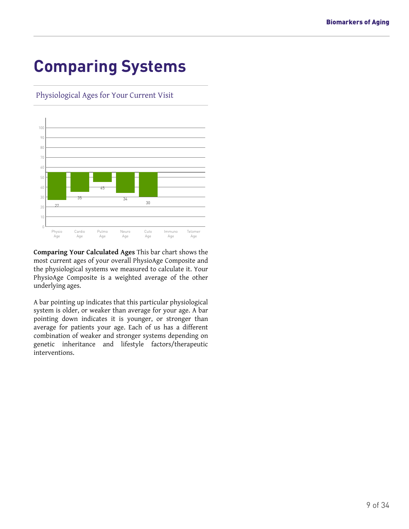## <span id="page-8-0"></span>**Comparing Systems**

Physiological Ages for Your Current Visit



**Comparing Your Calculated Ages** This bar chart shows the most current ages of your overall PhysioAge Composite and the physiological systems we measured to calculate it. Your PhysioAge Composite is a weighted average of the other underlying ages.

A bar pointing up indicates that this particular physiological system is older, or weaker than average for your age. A bar pointing down indicates it is younger, or stronger than average for patients your age. Each of us has a different combination of weaker and stronger systems depending on genetic inheritance and lifestyle factors/therapeutic interventions.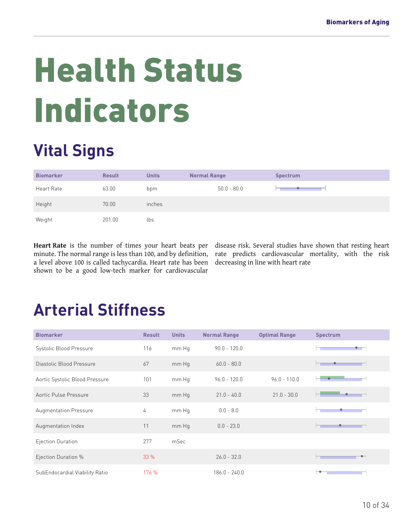# <span id="page-9-0"></span>Health Status Indicators

# <span id="page-9-1"></span>**Vital Signs**

| <b>Biomarker</b> | <b>Result</b> | <b>Units</b> | <b>Normal Range</b> | <b>Spectrum</b> |
|------------------|---------------|--------------|---------------------|-----------------|
| Heart Rate       | 63.00         | bpm          | $50.0 - 80.0$       |                 |
| Height           | 70.00         | inches       |                     |                 |
| Weight           | 201.00        | lbs          |                     |                 |

**Heart Rate** is the number of times your heart beats per minute. The normal range is less than 100, and by definition, a level above 100 is called tachycardia. Heart rate has been shown to be a good low-tech marker for cardiovascular

disease risk. Several studies have shown that resting heart rate predicts cardiovascular mortality, with the risk decreasing in line with heart rate

# <span id="page-9-2"></span>**Arterial Stiffness**

| <b>Biomarker</b>               | <b>Result</b> | <b>Units</b> | <b>Normal Range</b> | <b>Optimal Range</b> | <b>Spectrum</b> |
|--------------------------------|---------------|--------------|---------------------|----------------------|-----------------|
| Systolic Blood Pressure        | 116           | mm Hq        | $90.0 - 120.0$      |                      |                 |
| Diastolic Blood Pressure       | 67            | mm Hg        | $60.0 - 80.0$       |                      |                 |
| Aortic Systolic Blood Pressure | 101           | mm Hg        | $96.0 - 120.0$      | $96.0 - 110.0$       |                 |
| Aortic Pulse Pressure          | 33            | mm Hq        | $21.0 - 40.0$       | $21.0 - 30.0$        |                 |
| <b>Augmentation Pressure</b>   | 4             | mm Hq        | $0.0 - 8.0$         |                      |                 |
| Augmentation Index             | 11            | mm Hq        | $0.0 - 23.0$        |                      |                 |
| Ejection Duration              | 277           | mSec         |                     |                      |                 |
| Ejection Duration %            | 33%           |              | $26.0 - 32.0$       |                      |                 |
| SubEndocardial Viability Ratio | 176 %         |              | $186.0 - 240.0$     |                      |                 |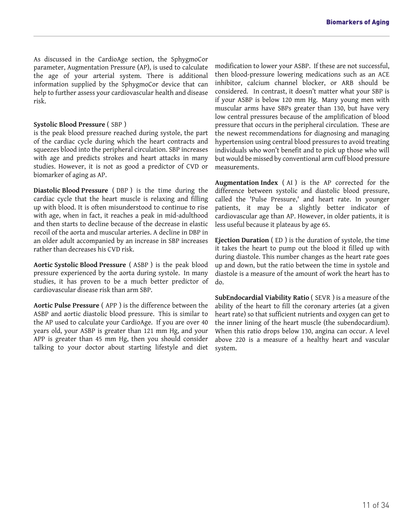As discussed in the CardioAge section, the SphygmoCor parameter, Augmentation Pressure (AP), is used to calculate the age of your arterial system. There is additional information supplied by the SphygmoCor device that can help to further assess your cardiovascular health and disease risk.

#### **Systolic Blood Pressure** ( SBP )

is the peak blood pressure reached during systole, the part of the cardiac cycle during which the heart contracts and squeezes blood into the peripheral circulation. SBP increases with age and predicts strokes and heart attacks in many studies. However, it is not as good a predictor of CVD or biomarker of aging as AP.

**Diastolic Blood Pressure** ( DBP ) is the time during the cardiac cycle that the heart muscle is relaxing and filling up with blood. It is often misunderstood to continue to rise with age, when in fact, it reaches a peak in mid-adulthood and then starts to decline because of the decrease in elastic recoil of the aorta and muscular arteries. A decline in DBP in an older adult accompanied by an increase in SBP increases rather than decreases his CVD risk.

**Aortic Systolic Blood Pressure** ( ASBP ) is the peak blood pressure experienced by the aorta during systole. In many studies, it has proven to be a much better predictor of cardiovascular disease risk than arm SBP.

**Aortic Pulse Pressure** ( APP ) is the difference between the ASBP and aortic diastolic blood pressure. This is similar to the AP used to calculate your CardioAge. If you are over 40 years old, your ASBP is greater than 121 mm Hg, and your APP is greater than 45 mm Hg, then you should consider talking to your doctor about starting lifestyle and diet modification to lower your ASBP. If these are not successful, then blood-pressure lowering medications such as an ACE inhibitor, calcium channel blocker, or ARB should be considered. In contrast, it doesn't matter what your SBP is if your ASBP is below 120 mm Hg. Many young men with muscular arms have SBPs greater than 130, but have very low central pressures because of the amplification of blood pressure that occurs in the peripheral circulation. These are the newest recommendations for diagnosing and managing hypertension using central blood pressures to avoid treating individuals who won't benefit and to pick up those who will but would be missed by conventional arm cuff blood pressure measurements.

**Augmentation Index** ( AI ) is the AP corrected for the difference between systolic and diastolic blood pressure, called the 'Pulse Pressure,' and heart rate. In younger patients, it may be a slightly better indicator of cardiovascular age than AP. However, in older patients, it is less useful because it plateaus by age 65.

**Ejection Duration** ( ED ) is the duration of systole, the time it takes the heart to pump out the blood it filled up with during diastole. This number changes as the heart rate goes up and down, but the ratio between the time in systole and diastole is a measure of the amount of work the heart has to do.

**SubEndocardial Viability Ratio** ( SEVR ) is a measure of the ability of the heart to fill the coronary arteries (at a given heart rate) so that sufficient nutrients and oxygen can get to the inner lining of the heart muscle (the subendocardium). When this ratio drops below 130, angina can occur. A level above 220 is a measure of a healthy heart and vascular system.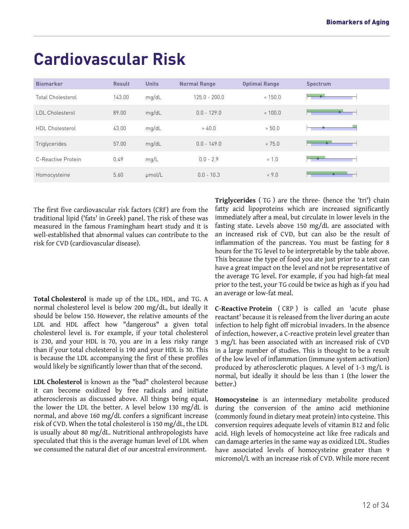| <b>Biomarker</b>         | <b>Result</b> | <b>Units</b> | <b>Normal Range</b> | <b>Optimal Range</b> | <b>Spectrum</b> |
|--------------------------|---------------|--------------|---------------------|----------------------|-----------------|
| <b>Total Cholesterol</b> | 143.00        | mq/dL        | $125.0 - 200.0$     | < 150.0              |                 |
| <b>LDL Cholesterol</b>   | 89.00         | mg/dL        | $0.0 - 129.0$       | ~< 100.0             |                 |
| HDL Cholesterol          | 43.00         | mg/dL        | > 40.0              | > 50.0               |                 |
| Triglycerides            | 57.00         | mg/dL        | $0.0 - 149.0$       | < 75.0               |                 |
| C-Reactive Protein       | 0.49          | mg/L         | $0.0 - 2.9$         | ~1.0                 |                 |
| Homocysteine             | 5.60          | µmol/L       | $0.0 - 10.3$        | & 9.0                |                 |

## <span id="page-11-0"></span>**Cardiovascular Risk**

The first five cardiovascular risk factors (CRF) are from the traditional lipid ('fats' in Greek) panel. The risk of these was measured in the famous Framingham heart study and it is well-established that abnormal values can contribute to the risk for CVD (cardiovascular disease).

**Total Cholesterol** is made up of the LDL, HDL, and TG. A normal cholesterol level is below 200 mg/dL, but ideally it should be below 150. However, the relative amounts of the LDL and HDL affect how "dangerous" a given total cholesterol level is. For example, if your total cholesterol is 230, and your HDL is 70, you are in a less risky range than if your total cholesterol is 190 and your HDL is 30. This is because the LDL accompanying the first of these profiles would likely be significantly lower than that of the second.

**LDL Cholesterol** is known as the "bad" cholesterol because it can become oxidized by free radicals and initiate atherosclerosis as discussed above. All things being equal, the lower the LDL the better. A level below 130 mg/dL is normal, and above 160 mg/dL confers a significant increase risk of CVD. When the total cholesterol is 150 mg/dL, the LDL is usually about 80 mg/dL. Nutritional anthropologists have speculated that this is the average human level of LDL when we consumed the natural diet of our ancestral environment.

**Triglycerides** ( TG ) are the three- (hence the 'tri') chain fatty acid lipoproteins which are increased significantly immediately after a meal, but circulate in lower levels in the fasting state. Levels above 150 mg/dL are associated with an increased risk of CVD, but can also be the result of inflammation of the pancreas. You must be fasting for 8 hours for the TG level to be interpretable by the table above. This because the type of food you ate just prior to a test can have a great impact on the level and not be representative of the average TG level. For example, if you had high-fat meal prior to the test, your TG could be twice as high as if you had an average or low-fat meal.

**C-Reactive Protein** ( CRP ) is called an 'acute phase reactant' because it is released from the liver during an acute infection to help fight off microbial invaders. In the absence of infection, however, a C-reactive protein level greater than 3 mg/L has been associated with an increased risk of CVD in a large number of studies. This is thought to be a result of the low level of inflammation (immune system activation) produced by atherosclerotic plaques. A level of 1-3 mg/L is normal, but ideally it should be less than 1 (the lower the better.)

**Homocysteine** is an intermediary metabolite produced during the conversion of the amino acid methionine (commonly found in dietary meat protein) into cysteine. This conversion requires adequate levels of vitamin B12 and folic acid. High levels of homocysteine act like free radicals and can damage arteries in the same way as oxidized LDL. Studies have associated levels of homocysteine greater than 9 micromol/L with an increase risk of CVD. While more recent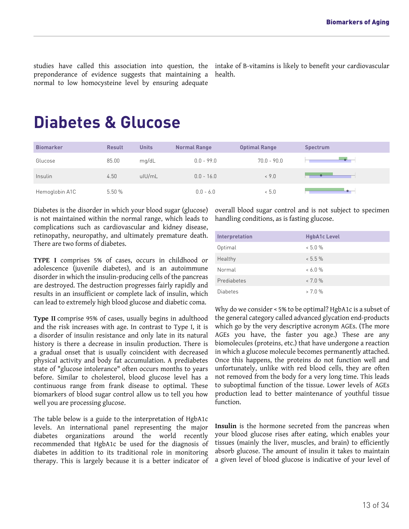studies have called this association into question, the preponderance of evidence suggests that maintaining a normal to low homocysteine level by ensuring adequate

intake of B-vitamins is likely to benefit your cardiovascular health.

### <span id="page-12-0"></span>**Diabetes & Glucose**

| <b>Biomarker</b> | <b>Result</b> | <b>Units</b> | <b>Normal Range</b> | <b>Optimal Range</b> | <b>Spectrum</b> |
|------------------|---------------|--------------|---------------------|----------------------|-----------------|
| Glucose          | 85.00         | mq/dL        | $0.0 - 99.0$        | $70.0 - 90.0$        |                 |
| Insulin          | 4.50          | ulU/mL       | $0.0 - 16.0$        | $0.9 - 0$            |                 |
| Hemoglobin A1C   | 5.50%         |              | $0.0 - 6.0$         | &5.0                 | $-$             |

Diabetes is the disorder in which your blood sugar (glucose) is not maintained within the normal range, which leads to complications such as cardiovascular and kidney disease, retinopathy, neuropathy, and ultimately premature death. There are two forms of diabetes.

**TYPE I** comprises 5% of cases, occurs in childhood or adolescence (juvenile diabetes), and is an autoimmune disorder in which the insulin-producing cells of the pancreas are destroyed. The destruction progresses fairly rapidly and results in an insufficient or complete lack of insulin, which can lead to extremely high blood glucose and diabetic coma.

**Type II** comprise 95% of cases, usually begins in adulthood and the risk increases with age. In contrast to Type I, it is a disorder of insulin resistance and only late in its natural history is there a decrease in insulin production. There is a gradual onset that is usually coincident with decreased physical activity and body fat accumulation. A prediabetes state of "glucose intolerance" often occurs months to years before. Similar to cholesterol, blood glucose level has a continuous range from frank disease to optimal. These biomarkers of blood sugar control allow us to tell you how well you are processing glucose.

The table below is a guide to the interpretation of HgbA1c levels. An international panel representing the major diabetes organizations around the world recently recommended that HgbA1c be used for the diagnosis of diabetes in addition to its traditional role in monitoring therapy. This is largely because it is a better indicator of overall blood sugar control and is not subject to specimen handling conditions, as is fasting glucose.

| Interpretation  | <b>HgbA1c Level</b> |
|-----------------|---------------------|
| Optimal         | $< 5.0 \%$          |
| Healthy         | $< 5.5 \%$          |
| Normal          | $& 6.0 \%$          |
| Prediabetes     | $< 7.0 \%$          |
| <b>Diabetes</b> | $> 7.0 \%$          |

Why do we consider < 5% to be optimal? HgbA1c is a subset of the general category called advanced glycation end-products which go by the very descriptive acronym AGEs. (The more AGEs you have, the faster you age.) These are any biomolecules (proteins, etc.) that have undergone a reaction in which a glucose molecule becomes permanently attached. Once this happens, the proteins do not function well and unfortunately, unlike with red blood cells, they are often not removed from the body for a very long time. This leads to suboptimal function of the tissue. Lower levels of AGEs production lead to better maintenance of youthful tissue function.

**Insulin** is the hormone secreted from the pancreas when your blood glucose rises after eating, which enables your tissues (mainly the liver, muscles, and brain) to efficiently absorb glucose. The amount of insulin it takes to maintain a given level of blood glucose is indicative of your level of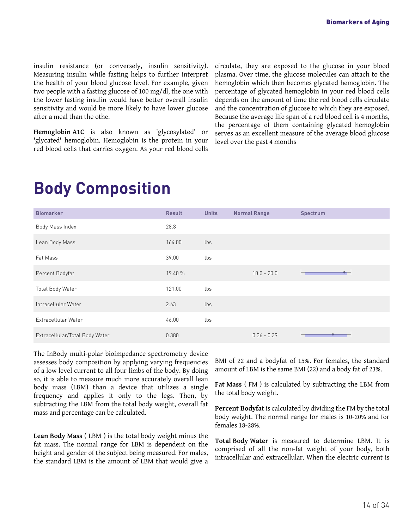insulin resistance (or conversely, insulin sensitivity). Measuring insulin while fasting helps to further interpret the health of your blood glucose level. For example, given two people with a fasting glucose of 100 mg/dl, the one with the lower fasting insulin would have better overall insulin sensitivity and would be more likely to have lower glucose after a meal than the othe.

**Hemoglobin A1C** is also known as 'glycosylated' or 'glycated' hemoglobin. Hemoglobin is the protein in your red blood cells that carries oxygen. As your red blood cells circulate, they are exposed to the glucose in your blood plasma. Over time, the glucose molecules can attach to the hemoglobin which then becomes glycated hemoglobin. The percentage of glycated hemoglobin in your red blood cells depends on the amount of time the red blood cells circulate and the concentration of glucose to which they are exposed. Because the average life span of a red blood cell is 4 months, the percentage of them containing glycated hemoglobin serves as an excellent measure of the average blood glucose level over the past 4 months

### <span id="page-13-0"></span>**Body Composition**

| <b>Biomarker</b>               | <b>Result</b> | <b>Units</b> | <b>Normal Range</b> | <b>Spectrum</b> |
|--------------------------------|---------------|--------------|---------------------|-----------------|
| Body Mass Index                | 28.8          |              |                     |                 |
| Lean Body Mass                 | 164.00        | lbs          |                     |                 |
| Fat Mass                       | 39.00         | lbs          |                     |                 |
| Percent Bodyfat                | 19.40 %       |              | $10.0 - 20.0$       |                 |
| Total Body Water               | 121.00        | lbs          |                     |                 |
| Intracellular Water            | 2.63          | lbs          |                     |                 |
| Extracellular Water            | 46.00         | lbs          |                     |                 |
| Extracellular/Total Body Water | 0.380         |              | $0.36 - 0.39$       |                 |

The InBody multi-polar bioimpedance spectrometry device assesses body composition by applying varying frequencies of a low level current to all four limbs of the body. By doing so, it is able to measure much more accurately overall lean body mass (LBM) than a device that utilizes a single frequency and applies it only to the legs. Then, by subtracting the LBM from the total body weight, overall fat mass and percentage can be calculated.

**Lean Body Mass** ( LBM ) is the total body weight minus the fat mass. The normal range for LBM is dependent on the height and gender of the subject being measured. For males, the standard LBM is the amount of LBM that would give a BMI of 22 and a bodyfat of 15%. For females, the standard amount of LBM is the same BMI (22) and a body fat of 23%.

**Fat Mass** ( FM ) is calculated by subtracting the LBM from the total body weight.

**Percent Bodyfat** is calculated by dividing the FM by the total body weight. The normal range for males is 10-20% and for females 18-28%.

**Total Body Water** is measured to determine LBM. It is comprised of all the non-fat weight of your body, both intracellular and extracellular. When the electric current is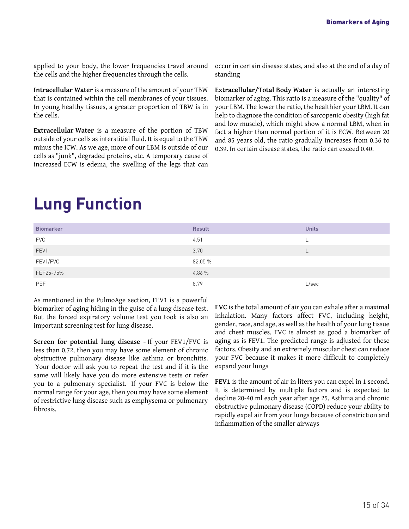applied to your body, the lower frequencies travel around the cells and the higher frequencies through the cells.

**Intracellular Water** is a measure of the amount of your TBW that is contained within the cell membranes of your tissues. In young healthy tissues, a greater proportion of TBW is in the cells.

**Extracellular Water** is a measure of the portion of TBW outside of your cells as interstitial fluid. It is equal to the TBW minus the ICW. As we age, more of our LBM is outside of our cells as "junk", degraded proteins, etc. A temporary cause of increased ECW is edema, the swelling of the legs that can

occur in certain disease states, and also at the end of a day of standing

**Extracellular/Total Body Water** is actually an interesting biomarker of aging. This ratio is a measure of the "quality" of your LBM. The lower the ratio, the healthier your LBM. It can help to diagnose the condition of sarcopenic obesity (high fat and low muscle), which might show a normal LBM, when in fact a higher than normal portion of it is ECW. Between 20 and 85 years old, the ratio gradually increases from 0.36 to 0.39. In certain disease states, the ratio can exceed 0.40.

### <span id="page-14-0"></span>**Lung Function**

| <b>Biomarker</b> | <b>Result</b> | <b>Units</b> |
|------------------|---------------|--------------|
| <b>FVC</b>       | 4.51          |              |
| FEV1             | 3.70          |              |
| FEV1/FVC         | 82.05 %       |              |
| FEF25-75%        | 4.86 %        |              |
| PEF              | 8.79          | L/sec        |

As mentioned in the PulmoAge section, FEV1 is a powerful biomarker of aging hiding in the guise of a lung disease test. But the forced expiratory volume test you took is also an important screening test for lung disease.

**Screen for potential lung disease -** If your FEV1/FVC is less than 0.72, then you may have some element of chronic obstructive pulmonary disease like asthma or bronchitis. Your doctor will ask you to repeat the test and if it is the same will likely have you do more extensive tests or refer you to a pulmonary specialist. If your FVC is below the normal range for your age, then you may have some element of restrictive lung disease such as emphysema or pulmonary fibrosis.

**FVC** is the total amount of air you can exhale after a maximal inhalation. Many factors affect FVC, including height, gender, race, and age, as well as the health of your lung tissue and chest muscles. FVC is almost as good a biomarker of aging as is FEV1. The predicted range is adjusted for these factors. Obesity and an extremely muscular chest can reduce your FVC because it makes it more difficult to completely expand your lungs

**FEV1** is the amount of air in liters you can expel in 1 second. It is determined by multiple factors and is expected to decline 20-40 ml each year after age 25. Asthma and chronic obstructive pulmonary disease (COPD) reduce your ability to rapidly expel air from your lungs because of constriction and inflammation of the smaller airways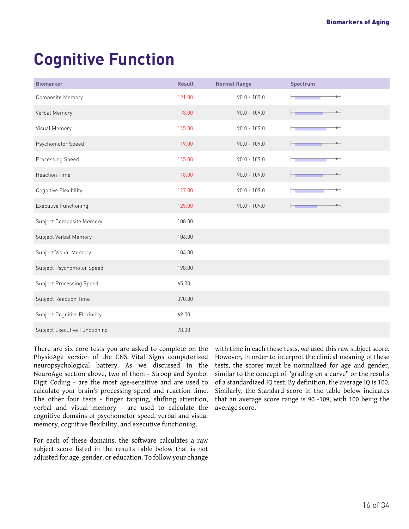# <span id="page-15-0"></span>**Cognitive Function**

| <b>Biomarker</b>                | <b>Result</b> | <b>Normal Range</b> | <b>Spectrum</b>    |
|---------------------------------|---------------|---------------------|--------------------|
| Composite Memory                | 121.00        | $90.0 - 109.0$      |                    |
| Verbal Memory                   | 118.00        | $90.0 - 109.0$      |                    |
| Visual Memory                   | 115.00        | $90.0 - 109.0$      |                    |
| Psychomotor Speed               | 119.00        | $90.0 - 109.0$      |                    |
| Processing Speed                | 115.00        | $90.0 - 109.0$      |                    |
| <b>Reaction Time</b>            | 118.00        | $90.0 - 109.0$      | $\bullet$ $\vdash$ |
| Cognitive Flexibility           | 117.00        | $90.0 - 109.0$      |                    |
| <b>Executive Functioning</b>    | 125.00        | $90.0 - 109.0$      | $\bullet$          |
| Subject Composite Memory        | 108.00        |                     |                    |
| Subject Verbal Memory           | 106.00        |                     |                    |
| Subject Visual Memory           | 104.00        |                     |                    |
| Subject Psychomotor Speed       | 198.00        |                     |                    |
| <b>Subject Processing Speed</b> | 65.00         |                     |                    |
| Subject Reaction Time           | 370.00        |                     |                    |
| Subject Cognitive Flexibility   | 69.00         |                     |                    |
| Subject Executive Functioning   | 78.00         |                     |                    |

There are six core tests you are asked to complete on the PhysioAge version of the CNS Vital Signs computerized neuropsychological battery. As we discussed in the NeuroAge section above, two of them - Stroop and Symbol Digit Coding - are the most age-sensitive and are used to calculate your brain's processing speed and reaction time. The other four tests - finger tapping, shifting attention, verbal and visual memory - are used to calculate the cognitive domains of psychomotor speed, verbal and visual memory, cognitive flexibility, and executive functioning.

For each of these domains, the software calculates a raw subject score listed in the results table below that is not adjusted for age, gender, or education. To follow your change with time in each these tests, we used this raw subject score. However, in order to interpret the clinical meaning of these tests, the scores must be normalized for age and gender, similar to the concept of "grading on a curve" or the results of a standardized IQ test. By definition, the average IQ is 100. Similarly, the Standard score in the table below indicates that an average score range is 90 -109, with 100 being the average score.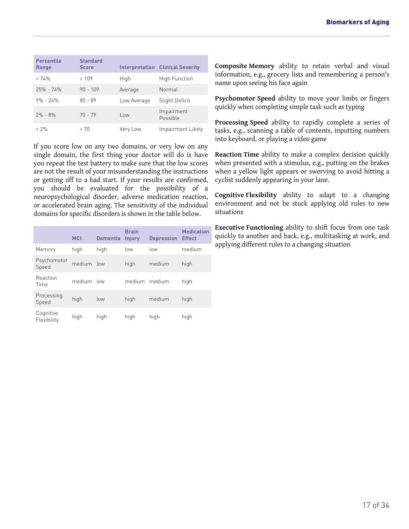| <b>Percentile</b><br>Range | <b>Standard</b><br><b>Score</b> |             | <b>Interpretation Clinical Severity</b> |
|----------------------------|---------------------------------|-------------|-----------------------------------------|
| >74%                       | >109                            | High        | <b>High Function</b>                    |
| $25\% - 74\%$              | $90 - 109$                      | Average     | Normal                                  |
| $9\% - 24\%$               | $80 - 89$                       | Low Average | Slight Deficit                          |
| $2\% - 8\%$                | $70 - 79$                       | Low         | Impairment<br>Possible                  |
| < 2%                       | - 70                            | Very Low    | Impairment Likely                       |

If you score low on any two domains, or very low on any single domain, the first thing your doctor will do is have you repeat the test battery to make sure that the low scores are not the result of your misunderstanding the instructions or getting off to a bad start. If your results are confirmed, you should be evaluated for the possibility of a neuropsychological disorder, adverse medication reaction, or accelerated brain aging. The sensitivity of the individual domains for specific disorders is shown in the table below.

|                          | <b>MCI</b> | <b>Dementia</b> | <b>Brain</b><br><b>Injury</b> | <b>Depression</b> | <b>Medication</b><br><b>Effect</b> |
|--------------------------|------------|-----------------|-------------------------------|-------------------|------------------------------------|
| Memory                   | high       | high            | low                           | low               | medium                             |
| Psychomotor<br>Speed     | medium     | low             | high                          | medium            | high                               |
| Reaction<br>Time         | medium     | low             | medium                        | medium            | high                               |
| Processing<br>Speed      | high       | low             | high                          | medium            | high                               |
| Cognitive<br>Flexibility | high       | high            | high                          | high              | high                               |

**Composite Memory** ability to retain verbal and visual information, e.g., grocery lists and remembering a person's name upon seeing his face again

**Psychomotor Speed** ability to move your limbs or fingers quickly when completing simple task such as typing

**Processing Speed** ability to rapidly complete a series of tasks, e.g., scanning a table of contents, inputting numbers into keyboard, or playing a video game

**Reaction Time** ability to make a complex decision quickly when presented with a stimulus, e.g., putting on the brakes when a yellow light appears or swerving to avoid hitting a cyclist suddenly appearing in your lane.

**Cognitive Flexibility** ability to adapt to a changing environment and not be stuck applying old rules to new situations

**Executive Functioning** ability to shift focus from one task quickly to another and back, e.g., multitasking at work, and applying different rules to a changing situation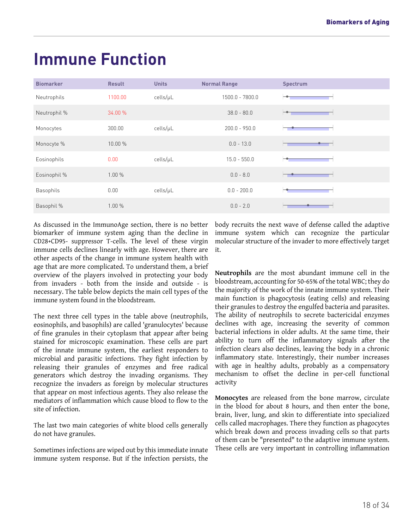### <span id="page-17-0"></span>**Immune Function**

| <b>Biomarker</b> | <b>Result</b> | <b>Units</b> | <b>Normal Range</b> | Spectrum |
|------------------|---------------|--------------|---------------------|----------|
| Neutrophils      | 1100.00       | cells/µL     | 1500.0 - 7800.0     |          |
| Neutrophil %     | 34.00 %       |              | $38.0 - 80.0$       |          |
| Monocytes        | 300.00        | cells/µL     | $200.0 - 950.0$     |          |
| Monocyte %       | 10.00 %       |              | $0.0 - 13.0$        |          |
| Eosinophils      | 0.00          | cells/µL     | $15.0 - 550.0$      |          |
| Eosinophil %     | 1.00%         |              | $0.0 - 8.0$         |          |
| <b>Basophils</b> | 0.00          | cells/µL     | $0.0 - 200.0$       |          |
| Basophil %       | 1.00%         |              | $0.0 - 2.0$         |          |

As discussed in the ImmunoAge section, there is no better biomarker of immune system aging than the decline in CD28+CD95- suppressor T-cells. The level of these virgin immune cells declines linearly with age. However, there are other aspects of the change in immune system health with age that are more complicated. To understand them, a brief overview of the players involved in protecting your body from invaders - both from the inside and outside - is necessary. The table below depicts the main cell types of the immune system found in the bloodstream.

The next three cell types in the table above (neutrophils, eosinophils, and basophils) are called 'granulocytes' because of fine granules in their cytoplasm that appear after being stained for microscopic examination. These cells are part of the innate immune system, the earliest responders to microbial and parasitic infections. They fight infection by releasing their granules of enzymes and free radical generators which destroy the invading organisms. They recognize the invaders as foreign by molecular structures that appear on most infectious agents. They also release the mediators of inflammation which cause blood to flow to the site of infection.

The last two main categories of white blood cells generally do not have granules.

Sometimes infections are wiped out by this immediate innate immune system response. But if the infection persists, the body recruits the next wave of defense called the adaptive immune system which can recognize the particular molecular structure of the invader to more effectively target it.

**Neutrophils** are the most abundant immune cell in the bloodstream, accounting for 50-65% of the total WBC; they do the majority of the work of the innate immune system. Their main function is phagocytosis (eating cells) and releasing their granules to destroy the engulfed bacteria and parasites. The ability of neutrophils to secrete bactericidal enzymes declines with age, increasing the severity of common bacterial infections in older adults. At the same time, their ability to turn off the inflammatory signals after the infection clears also declines, leaving the body in a chronic inflammatory state. Interestingly, their number increases with age in healthy adults, probably as a compensatory mechanism to offset the decline in per-cell functional activity

**Monocytes** are released from the bone marrow, circulate in the blood for about 8 hours, and then enter the bone, brain, liver, lung, and skin to differentiate into specialized cells called macrophages. There they function as phagocytes which break down and process invading cells so that parts of them can be "presented" to the adaptive immune system. These cells are very important in controlling inflammation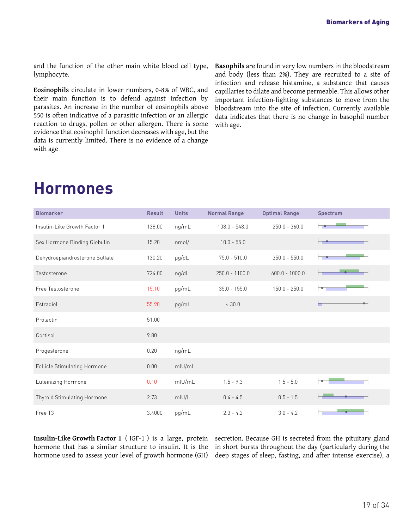and the function of the other main white blood cell type, lymphocyte.

**Eosinophils** circulate in lower numbers, 0-8% of WBC, and their main function is to defend against infection by parasites. An increase in the number of eosinophils above 550 is often indicative of a parasitic infection or an allergic reaction to drugs, pollen or other allergen. There is some evidence that eosinophil function decreases with age, but the data is currently limited. There is no evidence of a change with age

**Basophils** are found in very low numbers in the bloodstream and body (less than 2%). They are recruited to a site of infection and release histamine, a substance that causes capillaries to dilate and become permeable. This allows other important infection-fighting substances to move from the bloodstream into the site of infection. Currently available data indicates that there is no change in basophil number with age.

| <b>Biomarker</b>               | <b>Result</b> | <b>Units</b> | <b>Normal Range</b> | <b>Optimal Range</b> | <b>Spectrum</b>               |
|--------------------------------|---------------|--------------|---------------------|----------------------|-------------------------------|
| Insulin-Like Growth Factor 1   | 138.00        | ng/mL        | $108.0 - 548.0$     | $250.0 - 360.0$      |                               |
| Sex Hormone Binding Globulin   | 15.20         | nmol/L       | $10.0 - 55.0$       |                      |                               |
| Dehydroepiandrosterone Sulfate | 130.20        | $\mu$ g/dL   | $75.0 - 510.0$      | $350.0 - 550.0$      |                               |
| Testosterone                   | 724.00        | ng/dL        | $250.0 - 1100.0$    | $600.0 - 1000.0$     |                               |
| Free Testosterone              | 15.10         | pg/mL        | $35.0 - 155.0$      | $150.0 - 250.0$      |                               |
| Estradiol                      | 55.90         | pg/mL        | < 30.0              |                      | $\overline{\phantom{a}}$<br>▬ |
| Prolactin                      | 51.00         |              |                     |                      |                               |
| Cortisol                       | 9.80          |              |                     |                      |                               |
| Progesterone                   | 0.20          | ng/mL        |                     |                      |                               |
| Follicle Stimulating Hormone   | 0.00          | mIU/mL       |                     |                      |                               |
| Luteinizing Hormone            | 0.10          | mIU/mL       | $1.5 - 9.3$         | $1.5 - 5.0$          |                               |
| Thyroid Stimulating Hormone    | 2.73          | mIU/L        | $0.4 - 4.5$         | $0.5 - 1.5$          |                               |
| Free T3                        | 3.4000        | pg/mL        | $2.3 - 4.2$         | $3.0 - 4.2$          |                               |

### <span id="page-18-0"></span>**Hormones**

**Insulin-Like Growth Factor 1** ( IGF-1 ) is a large, protein hormone that has a similar structure to insulin. It is the hormone used to assess your level of growth hormone (GH)

secretion. Because GH is secreted from the pituitary gland in short bursts throughout the day (particularly during the deep stages of sleep, fasting, and after intense exercise), a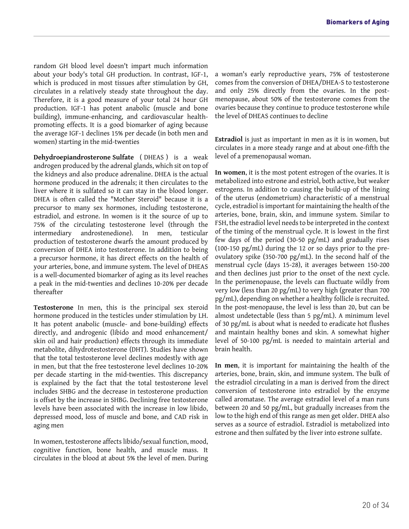random GH blood level doesn't impart much information about your body's total GH production. In contrast, IGF-1, which is produced in most tissues after stimulation by GH, circulates in a relatively steady state throughout the day. Therefore, it is a good measure of your total 24 hour GH production. IGF-1 has potent anabolic (muscle and bone building), immune-enhancing, and cardiovascular healthpromoting effects. It is a good biomarker of aging because the average IGF-1 declines 15% per decade (in both men and women) starting in the mid-twenties

**Dehydroepiandrosterone Sulfate** ( DHEAS ) is a weak androgen produced by the adrenal glands, which sit on top of the kidneys and also produce adrenaline. DHEA is the actual hormone produced in the adrenals; it then circulates to the liver where it is sulfated so it can stay in the blood longer. DHEA is often called the "Mother Steroid" because it is a precursor to many sex hormones, including testosterone, estradiol, and estrone. In women is it the source of up to 75% of the circulating testosterone level (through the intermediary androstenedione). In men, testicular production of testosterone dwarfs the amount produced by conversion of DHEA into testosterone. In addition to being a precursor hormone, it has direct effects on the health of your arteries, bone, and immune system. The level of DHEAS is a well-documented biomarker of aging as its level reaches a peak in the mid-twenties and declines 10-20% per decade thereafter

**Testosterone** In men, this is the principal sex steroid hormone produced in the testicles under stimulation by LH. It has potent anabolic (muscle- and bone-building) effects directly, and androgenic (libido and mood enhancement/ skin oil and hair production) effects through its immediate metabolite, dihydrotestosterone (DHT). Studies have shown that the total testosterone level declines modestly with age in men, but that the free testosterone level declines 10-20% per decade starting in the mid-twenties. This discrepancy is explained by the fact that the total testosterone level includes SHBG and the decrease in testosterone production is offset by the increase in SHBG. Declining free testosterone levels have been associated with the increase in low libido, depressed mood, loss of muscle and bone, and CAD risk in aging men

In women, testosterone affects libido/sexual function, mood, cognitive function, bone health, and muscle mass. It circulates in the blood at about 5% the level of men. During a woman's early reproductive years, 75% of testosterone comes from the conversion of DHEA/DHEA-S to testosterone and only 25% directly from the ovaries. In the postmenopause, about 50% of the testosterone comes from the ovaries because they continue to produce testosterone while the level of DHEAS continues to decline

**Estradiol** is just as important in men as it is in women, but circulates in a more steady range and at about one-fifth the level of a premenopausal woman.

**In women**, it is the most potent estrogen of the ovaries. It is metabolized into estrone and estriol, both active, but weaker estrogens. In addition to causing the build-up of the lining of the uterus (endometrium) characteristic of a menstrual cycle, estradiol is important for maintaining the health of the arteries, bone, brain, skin, and immune system. Similar to FSH, the estradiol level needs to be interpreted in the context of the timing of the menstrual cycle. It is lowest in the first few days of the period (30-50 pg/mL) and gradually rises (100-150 pg/mL) during the 12 or so days prior to the preovulatory spike (350-700 pg/mL). In the second half of the menstrual cycle (days 15-28), it averages between 150-200 and then declines just prior to the onset of the next cycle. In the perimenopause, the levels can fluctuate wildly from very low (less than 20 pg/mL) to very high (greater than 700 pg/mL), depending on whether a healthy follicle is recruited. In the post-menopause, the level is less than 20, but can be almost undetectable (less than 5 pg/mL). A minimum level of 30 pg/mL is about what is needed to eradicate hot flushes and maintain healthy bones and skin. A somewhat higher level of 50-100 pg/mL is needed to maintain arterial and brain health.

**In men**, it is important for maintaining the health of the arteries, bone, brain, skin, and immune system. The bulk of the estradiol circulating in a man is derived from the direct conversion of testosterone into estradiol by the enzyme called aromatase. The average estradiol level of a man runs between 20 and 50 pg/mL, but gradually increases from the low to the high end of this range as men get older. DHEA also serves as a source of estradiol. Estradiol is metabolized into estrone and then sulfated by the liver into estrone sulfate.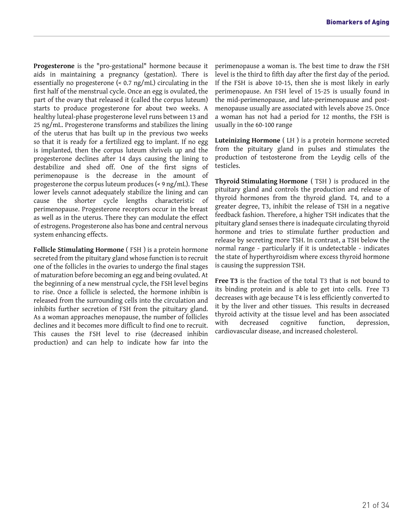**Progesterone** is the "pro-gestational" hormone because it aids in maintaining a pregnancy (gestation). There is essentially no progesterone (< 0.7 ng/mL) circulating in the first half of the menstrual cycle. Once an egg is ovulated, the part of the ovary that released it (called the corpus luteum) starts to produce progesterone for about two weeks. A healthy luteal-phase progesterone level runs between 13 and 25 ng/mL. Progesterone transforms and stabilizes the lining of the uterus that has built up in the previous two weeks so that it is ready for a fertilized egg to implant. If no egg is implanted, then the corpus luteum shrivels up and the progesterone declines after 14 days causing the lining to destabilize and shed off. One of the first signs of perimenopause is the decrease in the amount of progesterone the corpus luteum produces (< 9 ng/mL). These lower levels cannot adequately stabilize the lining and can cause the shorter cycle lengths characteristic of perimenopause. Progesterone receptors occur in the breast as well as in the uterus. There they can modulate the effect of estrogens. Progesterone also has bone and central nervous system enhancing effects.

**Follicle Stimulating Hormone** ( FSH ) is a protein hormone secreted from the pituitary gland whose function is to recruit one of the follicles in the ovaries to undergo the final stages of maturation before becoming an egg and being ovulated. At the beginning of a new menstrual cycle, the FSH level begins to rise. Once a follicle is selected, the hormone inhibin is released from the surrounding cells into the circulation and inhibits further secretion of FSH from the pituitary gland. As a woman approaches menopause, the number of follicles declines and it becomes more difficult to find one to recruit. This causes the FSH level to rise (decreased inhibin production) and can help to indicate how far into the perimenopause a woman is. The best time to draw the FSH level is the third to fifth day after the first day of the period. If the FSH is above 10-15, then she is most likely in early perimenopause. An FSH level of 15-25 is usually found in the mid-perimenopause, and late-perimenopause and postmenopause usually are associated with levels above 25. Once a woman has not had a period for 12 months, the FSH is usually in the 60-100 range

**Luteinizing Hormone** ( LH ) is a protein hormone secreted from the pituitary gland in pulses and stimulates the production of testosterone from the Leydig cells of the testicles.

**Thyroid Stimulating Hormone** ( TSH ) is produced in the pituitary gland and controls the production and release of thyroid hormones from the thyroid gland. T4, and to a greater degree, T3, inhibit the release of TSH in a negative feedback fashion. Therefore, a higher TSH indicates that the pituitary gland senses there is inadequate circulating thyroid hormone and tries to stimulate further production and release by secreting more TSH. In contrast, a TSH below the normal range - particularly if it is undetectable - indicates the state of hyperthyroidism where excess thyroid hormone is causing the suppression TSH.

**Free T3** is the fraction of the total T3 that is not bound to its binding protein and is able to get into cells. Free T3 decreases with age because T4 is less efficiently converted to it by the liver and other tissues. This results in decreased thyroid activity at the tissue level and has been associated with decreased cognitive function, depression, cardiovascular disease, and increased cholesterol.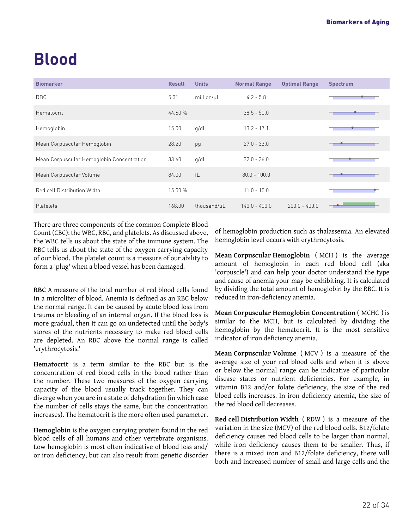## <span id="page-21-0"></span>**Blood**

| <b>Biomarker</b>                          | <b>Result</b> | <b>Units</b> | <b>Normal Range</b> | <b>Optimal Range</b> | <b>Spectrum</b> |
|-------------------------------------------|---------------|--------------|---------------------|----------------------|-----------------|
| <b>RBC</b>                                | 5.31          | million/µL   | $4.2 - 5.8$         |                      |                 |
| Hematocrit                                | 44.60 %       |              | $38.5 - 50.0$       |                      |                 |
| Hemoglobin                                | 15.00         | q/dL         | $13.2 - 17.1$       |                      |                 |
| Mean Corpuscular Hemoglobin               | 28.20         | pg           | $27.0 - 33.0$       |                      |                 |
| Mean Corpuscular Hemoglobin Concentration | 33.60         | q/dL         | $32.0 - 36.0$       |                      |                 |
| Mean Corpuscular Volume                   | 84.00         | $f _$        | $80.0 - 100.0$      |                      |                 |
| Red cell Distribution Width               | 15.00 %       |              | $11.0 - 15.0$       |                      |                 |
| Platelets                                 | 168.00        | thousand/µL  | $140.0 - 400.0$     | $200.0 - 400.0$      |                 |

There are three components of the common Complete Blood Count (CBC): the WBC, RBC, and platelets. As discussed above, the WBC tells us about the state of the immune system. The RBC tells us about the state of the oxygen carrying capacity of our blood. The platelet count is a measure of our ability to form a 'plug' when a blood vessel has been damaged.

**RBC** A measure of the total number of red blood cells found in a microliter of blood. Anemia is defined as an RBC below the normal range. It can be caused by acute blood loss from trauma or bleeding of an internal organ. If the blood loss is more gradual, then it can go on undetected until the body's stores of the nutrients necessary to make red blood cells are depleted. An RBC above the normal range is called 'erythrocytosis.'

**Hematocrit** is a term similar to the RBC but is the concentration of red blood cells in the blood rather than the number. These two measures of the oxygen carrying capacity of the blood usually track together. They can diverge when you are in a state of dehydration (in which case the number of cells stays the same, but the concentration increases). The hematocrit is the more often used parameter.

**Hemoglobin** is the oxygen carrying protein found in the red blood cells of all humans and other vertebrate organisms. Low hemoglobin is most often indicative of blood loss and/ or iron deficiency, but can also result from genetic disorder of hemoglobin production such as thalassemia. An elevated hemoglobin level occurs with erythrocytosis.

**Mean Corpuscular Hemoglobin** ( MCH ) is the average amount of hemoglobin in each red blood cell (aka 'corpuscle') and can help your doctor understand the type and cause of anemia your may be exhibiting. It is calculated by dividing the total amount of hemoglobin by the RBC. It is reduced in iron-deficiency anemia.

**Mean Corpuscular Hemoglobin Concentration** ( MCHC ) is similar to the MCH, but is calculated by dividing the hemoglobin by the hematocrit. It is the most sensitive indicator of iron deficiency anemia.

**Mean Corpuscular Volume** ( MCV ) is a measure of the average size of your red blood cells and when it is above or below the normal range can be indicative of particular disease states or nutrient deficiencies. For example, in vitamin B12 and/or folate deficiency, the size of the red blood cells increases. In iron deficiency anemia, the size of the red blood cell decreases.

**Red cell Distribution Width** ( RDW ) is a measure of the variation in the size (MCV) of the red blood cells. B12/folate deficiency causes red blood cells to be larger than normal, while iron deficiency causes them to be smaller. Thus, if there is a mixed iron and B12/folate deficiency, there will both and increased number of small and large cells and the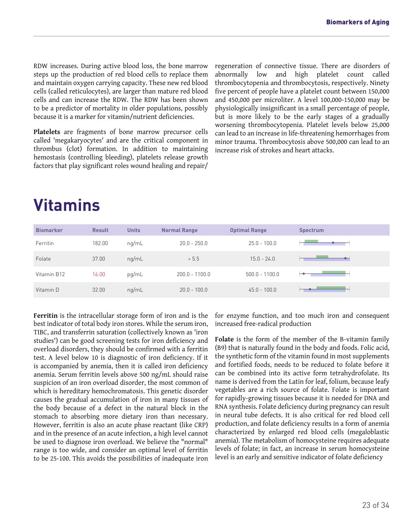RDW increases. During active blood loss, the bone marrow steps up the production of red blood cells to replace them and maintain oxygen carrying capacity. These new red blood cells (called reticulocytes), are larger than mature red blood cells and can increase the RDW. The RDW has been shown to be a predictor of mortality in older populations, possibly because it is a marker for vitamin/nutrient deficiencies.

**Platelets** are fragments of bone marrow precursor cells called 'megakaryocytes' and are the critical component in thrombus (clot) formation. In addition to maintaining hemostasis (controlling bleeding), platelets release growth factors that play significant roles wound healing and repair/

regeneration of connective tissue. There are disorders of abnormally low and high platelet count called thrombocytopenia and thrombocytosis, respectively. Ninety five percent of people have a platelet count between 150,000 and 450,000 per microliter. A level 100,000-150,000 may be physiologically insignificant in a small percentage of people, but is more likely to be the early stages of a gradually worsening thrombocytopenia. Platelet levels below 25,000 can lead to an increase in life-threatening hemorrhages from minor trauma. Thrombocytosis above 500,000 can lead to an increase risk of strokes and heart attacks.

### <span id="page-22-0"></span>**Vitamins**

| <b>Biomarker</b> | <b>Result</b> | <b>Units</b> | <b>Normal Range</b> | <b>Optimal Range</b> | <b>Spectrum</b> |
|------------------|---------------|--------------|---------------------|----------------------|-----------------|
| Ferritin         | 182.00        | nq/mL        | $20.0 - 250.0$      | $25.0 - 100.0$       |                 |
| Folate           | 37.00         | nq/mL        | > 5.5               | $15.0 - 24.0$        |                 |
| Vitamin B12      | 16.00         | pg/mL        | $200.0 - 1100.0$    | $500.0 - 1100.0$     |                 |
| Vitamin D        | 32.00         | ng/mL        | $20.0 - 100.0$      | $45.0 - 100.0$       |                 |

**Ferritin** is the intracellular storage form of iron and is the best indicator of total body iron stores. While the serum iron, TIBC, and transferrin saturation (collectively known as 'iron studies') can be good screening tests for iron deficiency and overload disorders, they should be confirmed with a ferritin test. A level below 10 is diagnostic of iron deficiency. If it is accompanied by anemia, then it is called iron deficiency anemia. Serum ferritin levels above 500 ng/mL should raise suspicion of an iron overload disorder, the most common of which is hereditary hemochromatosis. This genetic disorder causes the gradual accumulation of iron in many tissues of the body because of a defect in the natural block in the stomach to absorbing more dietary iron than necessary. However, ferritin is also an acute phase reactant (like CRP) and in the presence of an acute infection, a high level cannot be used to diagnose iron overload. We believe the "normal" range is too wide, and consider an optimal level of ferritin to be 25-100. This avoids the possibilities of inadequate iron for enzyme function, and too much iron and consequent increased free-radical production

**Folate** is the form of the member of the B-vitamin family (B9) that is naturally found in the body and foods. Folic acid, the synthetic form of the vitamin found in most supplements and fortified foods, needs to be reduced to folate before it can be combined into its active form tetrahydrofolate. Its name is derived from the Latin for leaf, folium, because leafy vegetables are a rich source of folate. Folate is important for rapidly-growing tissues because it is needed for DNA and RNA synthesis. Folate deficiency during pregnancy can result in neural tube defects. It is also critical for red blood cell production, and folate deficiency results in a form of anemia characterized by enlarged red blood cells (megaloblastic anemia). The metabolism of homocysteine requires adequate levels of folate; in fact, an increase in serum homocysteine level is an early and sensitive indicator of folate deficiency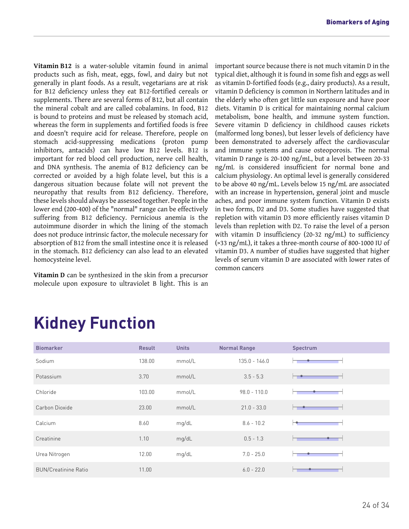**Vitamin B12** is a water-soluble vitamin found in animal products such as fish, meat, eggs, fowl, and dairy but not generally in plant foods. As a result, vegetarians are at risk for B12 deficiency unless they eat B12-fortified cereals or supplements. There are several forms of B12, but all contain the mineral cobalt and are called cobalamins. In food, B12 is bound to proteins and must be released by stomach acid, whereas the form in supplements and fortified foods is free and doesn't require acid for release. Therefore, people on stomach acid-suppressing medications (proton pump inhibitors, antacids) can have low B12 levels. B12 is important for red blood cell production, nerve cell health, and DNA synthesis. The anemia of B12 deficiency can be corrected or avoided by a high folate level, but this is a dangerous situation because folate will not prevent the neuropathy that results from B12 deficiency. Therefore, these levels should always be assessed together. People in the lower end (200-400) of the "normal" range can be effectively suffering from B12 deficiency. Pernicious anemia is the autoimmune disorder in which the lining of the stomach does not produce intrinsic factor, the molecule necessary for absorption of B12 from the small intestine once it is released in the stomach. B12 deficiency can also lead to an elevated homocysteine level.

**Vitamin D** can be synthesized in the skin from a precursor molecule upon exposure to ultraviolet B light. This is an important source because there is not much vitamin D in the typical diet, although it is found in some fish and eggs as well as vitamin D-fortified foods (e.g., dairy products). As a result, vitamin D deficiency is common in Northern latitudes and in the elderly who often get little sun exposure and have poor diets. Vitamin D is critical for maintaining normal calcium metabolism, bone health, and immune system function. Severe vitamin D deficiency in childhood causes rickets (malformed long bones), but lesser levels of deficiency have been demonstrated to adversely affect the cardiovascular and immune systems and cause osteoporosis. The normal vitamin D range is 20-100 ng/mL, but a level between 20-33 ng/mL is considered insufficient for normal bone and calcium physiology. An optimal level is generally considered to be above 40 ng/mL. Levels below 15 ng/mL are associated with an increase in hypertension, general joint and muscle aches, and poor immune system function. Vitamin D exists in two forms, D2 and D3. Some studies have suggested that repletion with vitamin D3 more efficiently raises vitamin D levels than repletion with D2. To raise the level of a person with vitamin D insufficiency (20-32 ng/mL) to sufficiency (>33 ng/mL), it takes a three-month course of 800-1000 IU of vitamin D3. A number of studies have suggested that higher levels of serum vitamin D are associated with lower rates of common cancers

| <b>Biomarker</b>            | <b>Result</b> | <b>Units</b> | <b>Normal Range</b> | Spectrum |
|-----------------------------|---------------|--------------|---------------------|----------|
| Sodium                      | 138.00        | mmol/L       | $135.0 - 146.0$     |          |
| Potassium                   | 3.70          | mmol/L       | $3.5 - 5.3$         |          |
| Chloride                    | 103.00        | mmol/L       | $98.0 - 110.0$      |          |
| Carbon Dioxide              | 23.00         | mmol/L       | $21.0 - 33.0$       |          |
| Calcium                     | 8.60          | mg/dL        | $8.6 - 10.2$        |          |
| Creatinine                  | 1.10          | mg/dL        | $0.5 - 1.3$         |          |
| Urea Nitrogen               | 12.00         | mg/dL        | $7.0 - 25.0$        |          |
| <b>BUN/Creatinine Ratio</b> | 11.00         |              | $6.0 - 22.0$        |          |

## <span id="page-23-0"></span>**Kidney Function**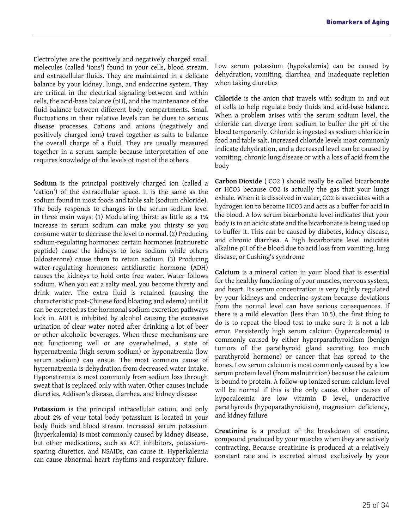Electrolytes are the positively and negatively charged small molecules (called 'ions') found in your cells, blood stream, and extracellular fluids. They are maintained in a delicate balance by your kidney, lungs, and endocrine system. They are critical in the electrical signaling between and within cells, the acid-base balance (pH), and the maintenance of the fluid balance between different body compartments. Small fluctuations in their relative levels can be clues to serious disease processes. Cations and anions (negatively and positively charged ions) travel together as salts to balance the overall charge of a fluid. They are usually measured together in a serum sample because interpretation of one requires knowledge of the levels of most of the others.

**Sodium** is the principal positively charged ion (called a 'cation') of the extracellular space. It is the same as the sodium found in most foods and table salt (sodium chloride). The body responds to changes in the serum sodium level in three main ways: (1) Modulating thirst: as little as a 1% increase in serum sodium can make you thirsty so you consume water to decrease the level to normal. (2) Producing sodium-regulating hormones: certain hormones (natriuretic peptide) cause the kidneys to lose sodium while others (aldosterone) cause them to retain sodium. (3) Producing water-regulating hormones: antidiuretic hormone (ADH) causes the kidneys to hold onto free water. Water follows sodium. When you eat a salty meal, you become thirsty and drink water. The extra fluid is retained (causing the characteristic post-Chinese food bloating and edema) until it can be excreted as the hormonal sodium excretion pathways kick in. ADH is inhibited by alcohol causing the excessive urination of clear water noted after drinking a lot of beer or other alcoholic beverages. When these mechanisms are not functioning well or are overwhelmed, a state of hypernatremia (high serum sodium) or hyponatremia (low serum sodium) can ensue. The most common cause of hypernatremia is dehydration from decreased water intake. Hyponatremia is most commonly from sodium loss through sweat that is replaced only with water. Other causes include diuretics, Addison's disease, diarrhea, and kidney disease

**Potassium** is the principal intracellular cation, and only about 2% of your total body potassium is located in your body fluids and blood stream. Increased serum potassium (hyperkalemia) is most commonly caused by kidney disease, but other medications, such as ACE inhibitors, potassiumsparing diuretics, and NSAIDs, can cause it. Hyperkalemia can cause abnormal heart rhythms and respiratory failure. Low serum potassium (hypokalemia) can be caused by dehydration, vomiting, diarrhea, and inadequate repletion when taking diuretics

**Chloride** is the anion that travels with sodium in and out of cells to help regulate body fluids and acid-base balance. When a problem arises with the serum sodium level, the chloride can diverge from sodium to buffer the pH of the blood temporarily. Chloride is ingested as sodium chloride in food and table salt. Increased chloride levels most commonly indicate dehydration, and a decreased level can be caused by vomiting, chronic lung disease or with a loss of acid from the body

**Carbon Dioxide** ( CO2 ) should really be called bicarbonate or HCO3 because CO2 is actually the gas that your lungs exhale. When it is dissolved in water, CO2 is associates with a hydrogen ion to become HCO3 and acts as a buffer for acid in the blood. A low serum bicarbonate level indicates that your body is in an acidic state and the bicarbonate is being used up to buffer it. This can be caused by diabetes, kidney disease, and chronic diarrhea. A high bicarbonate level indicates alkaline pH of the blood due to acid loss from vomiting, lung disease, or Cushing's syndrome

**Calcium** is a mineral cation in your blood that is essential for the healthy functioning of your muscles, nervous system, and heart. Its serum concentration is very tightly regulated by your kidneys and endocrine system because deviations from the normal level can have serious consequences. If there is a mild elevation (less than 10.5), the first thing to do is to repeat the blood test to make sure it is not a lab error. Persistently high serum calcium (hypercalcemia) is commonly caused by either hyperparathyroidism (benign tumors of the parathyroid gland secreting too much parathyroid hormone) or cancer that has spread to the bones. Low serum calcium is most commonly caused by a low serum protein level (from malnutrition) because the calcium is bound to protein. A follow-up ionized serum calcium level will be normal if this is the only cause. Other causes of hypocalcemia are low vitamin D level, underactive parathyroids (hypoparathyroidism), magnesium deficiency, and kidney failure

**Creatinine** is a product of the breakdown of creatine, compound produced by your muscles when they are actively contracting. Because creatinine is produced at a relatively constant rate and is excreted almost exclusively by your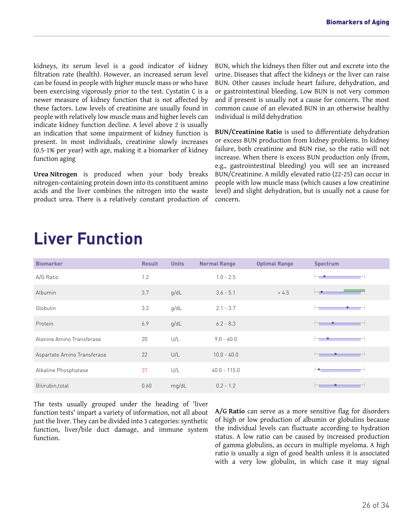kidneys, its serum level is a good indicator of kidney filtration rate (health). However, an increased serum level can be found in people with higher muscle mass or who have been exercising vigorously prior to the test. Cystatin C is a newer measure of kidney function that is not affected by these factors. Low levels of creatinine are usually found in people with relatively low muscle mass and higher levels can indicate kidney function decline. A level above 2 is usually an indication that some impairment of kidney function is present. In most individuals, creatinine slowly increases (0.5-1% per year) with age, making it a biomarker of kidney function aging

**Urea Nitrogen** is produced when your body breaks nitrogen-containing protein down into its constituent amino acids and the liver combines the nitrogen into the waste product urea. There is a relatively constant production of BUN, which the kidneys then filter out and excrete into the urine. Diseases that affect the kidneys or the liver can raise BUN. Other causes include heart failure, dehydration, and or gastrointestinal bleeding. Low BUN is not very common and if present is usually not a cause for concern. The most common cause of an elevated BUN in an otherwise healthy individual is mild dehydration

**BUN/Creatinine Ratio** is used to differentiate dehydration or excess BUN production from kidney problems. In kidney failure, both creatinine and BUN rise, so the ratio will not increase. When there is excess BUN production only (from, e.g., gastrointestinal bleeding) you will see an increased BUN/Creatinine. A mildly elevated ratio (22-25) can occur in people with low muscle mass (which causes a low creatinine level) and slight dehydration, but is usually not a cause for concern.

| <b>Biomarker</b>            | <b>Result</b> | <b>Units</b> | <b>Normal Range</b> | <b>Optimal Range</b> | <b>Spectrum</b> |
|-----------------------------|---------------|--------------|---------------------|----------------------|-----------------|
| A/G Ratio                   | 1.2           |              | $1.0 - 2.5$         |                      |                 |
| Albumin                     | 3.7           | g/dL         | $3.6 - 5.1$         | > 4.5                |                 |
| Globulin                    | 3.2           | g/dL         | $2.1 - 3.7$         |                      |                 |
| Protein                     | 6.9           | g/dL         | $6.2 - 8.3$         |                      |                 |
| Alanine Amino Transferase   | 20            | U/L          | $9.0 - 60.0$        |                      |                 |
| Aspartate Amino Transferase | 22            | U/L          | $10.0 - 40.0$       |                      |                 |
| Alkaline Phosphatase        | 37            | U/L          | $40.0 - 115.0$      |                      |                 |
| Bilirubin, total            | 0.60          | mg/dL        | $0.2 - 1.2$         |                      |                 |

### <span id="page-25-0"></span>**Liver Function**

The tests usually grouped under the heading of 'liver function tests' impart a variety of information, not all about just the liver. They can be divided into 3 categories: synthetic function, liver/bile duct damage, and immune system function.

**A/G Ratio** can serve as a more sensitive flag for disorders of high or low production of albumin or globulins because the individual levels can fluctuate according to hydration status. A low ratio can be caused by increased production of gamma globulins, as occurs in multiple myeloma. A high ratio is usually a sign of good health unless it is associated with a very low globulin, in which case it may signal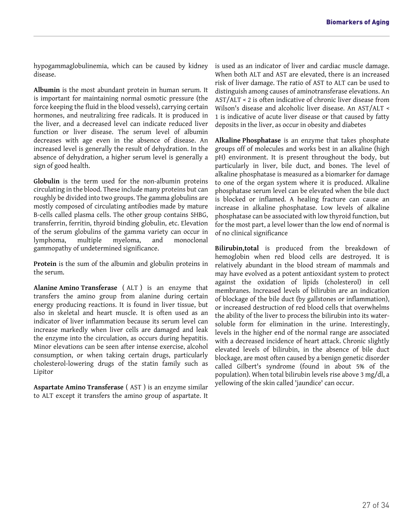hypogammaglobulinemia, which can be caused by kidney disease.

**Albumin** is the most abundant protein in human serum. It is important for maintaining normal osmotic pressure (the force keeping the fluid in the blood vessels), carrying certain hormones, and neutralizing free radicals. It is produced in the liver, and a decreased level can indicate reduced liver function or liver disease. The serum level of albumin decreases with age even in the absence of disease. An increased level is generally the result of dehydration. In the absence of dehydration, a higher serum level is generally a sign of good health.

**Globulin** is the term used for the non-albumin proteins circulating in the blood. These include many proteins but can roughly be divided into two groups. The gamma globulins are mostly composed of circulating antibodies made by mature B-cells called plasma cells. The other group contains SHBG, transferrin, ferritin, thyroid binding globulin, etc. Elevation of the serum globulins of the gamma variety can occur in lymphoma, multiple myeloma, and monoclonal gammopathy of undetermined significance.

**Protein** is the sum of the albumin and globulin proteins in the serum.

**Alanine Amino Transferase** ( ALT ) is an enzyme that transfers the amino group from alanine during certain energy producing reactions. It is found in liver tissue, but also in skeletal and heart muscle. It is often used as an indicator of liver inflammation because its serum level can increase markedly when liver cells are damaged and leak the enzyme into the circulation, as occurs during hepatitis. Minor elevations can be seen after intense exercise, alcohol consumption, or when taking certain drugs, particularly cholesterol-lowering drugs of the statin family such as Lipitor

**Aspartate Amino Transferase** ( AST ) is an enzyme similar to ALT except it transfers the amino group of aspartate. It is used as an indicator of liver and cardiac muscle damage. When both ALT and AST are elevated, there is an increased risk of liver damage. The ratio of AST to ALT can be used to distinguish among causes of aminotransferase elevations. An AST/ALT < 2 is often indicative of chronic liver disease from Wilson's disease and alcoholic liver disease. An AST/ALT < 1 is indicative of acute liver disease or that caused by fatty deposits in the liver, as occur in obesity and diabetes

**Alkaline Phosphatase** is an enzyme that takes phosphate groups off of molecules and works best in an alkaline (high pH) environment. It is present throughout the body, but particularly in liver, bile duct, and bones. The level of alkaline phosphatase is measured as a biomarker for damage to one of the organ system where it is produced. Alkaline phosphatase serum level can be elevated when the bile duct is blocked or inflamed. A healing fracture can cause an increase in alkaline phosphatase. Low levels of alkaline phosphatase can be associated with low thyroid function, but for the most part, a level lower than the low end of normal is of no clinical significance

**Bilirubin,total** is produced from the breakdown of hemoglobin when red blood cells are destroyed. It is relatively abundant in the blood stream of mammals and may have evolved as a potent antioxidant system to protect against the oxidation of lipids (cholesterol) in cell membranes. Increased levels of bilirubin are an indication of blockage of the bile duct (by gallstones or inflammation), or increased destruction of red blood cells that overwhelms the ability of the liver to process the bilirubin into its watersoluble form for elimination in the urine. Interestingly, levels in the higher end of the normal range are associated with a decreased incidence of heart attack. Chronic slightly elevated levels of bilirubin, in the absence of bile duct blockage, are most often caused by a benign genetic disorder called Gilbert's syndrome (found in about 5% of the population). When total bilirubin levels rise above 3 mg/dl, a yellowing of the skin called 'jaundice' can occur.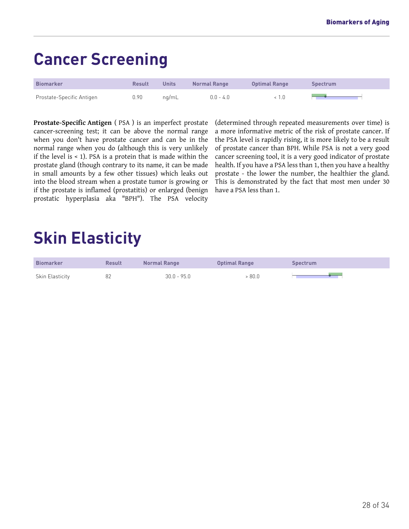## <span id="page-27-0"></span>**Cancer Screening**

| <b>Biomarker</b>          | <b>Result</b> | <b>Units</b> | <b>Normal Range</b> | <b>Optimal Range</b> | <b>Spectrum</b> |
|---------------------------|---------------|--------------|---------------------|----------------------|-----------------|
| Prostate-Specific Antigen | 0.90          | na/mL        | $0.0 - 4.0$         |                      |                 |

**Prostate-Specific Antigen** ( PSA ) is an imperfect prostate cancer-screening test; it can be above the normal range when you don't have prostate cancer and can be in the normal range when you do (although this is very unlikely if the level is < 1). PSA is a protein that is made within the prostate gland (though contrary to its name, it can be made in small amounts by a few other tissues) which leaks out into the blood stream when a prostate tumor is growing or if the prostate is inflamed (prostatitis) or enlarged (benign prostatic hyperplasia aka "BPH"). The PSA velocity

(determined through repeated measurements over time) is a more informative metric of the risk of prostate cancer. If the PSA level is rapidly rising, it is more likely to be a result of prostate cancer than BPH. While PSA is not a very good cancer screening tool, it is a very good indicator of prostate health. If you have a PSA less than 1, then you have a healthy prostate - the lower the number, the healthier the gland. This is demonstrated by the fact that most men under 30 have a PSA less than 1.

## <span id="page-27-1"></span>**Skin Elasticity**

| <b>Biomarker</b> | <b>Result</b> | <b>Normal Range</b> | <b>Optimal Range</b> | Spectrum |
|------------------|---------------|---------------------|----------------------|----------|
| Skin Elasticity  |               | $30.0 - 95.0$       | 80.0 >               |          |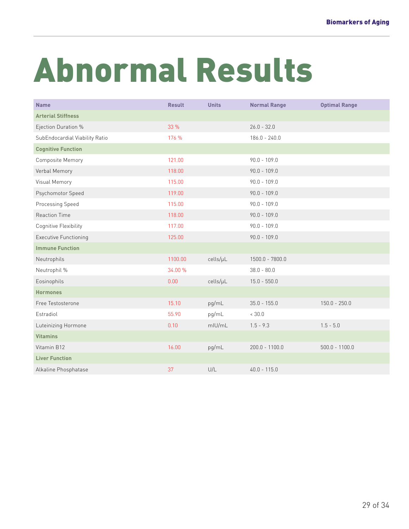# <span id="page-28-0"></span>Abnormal Results

| <b>Name</b>                    | <b>Result</b> | <b>Units</b> | <b>Normal Range</b> | <b>Optimal Range</b> |
|--------------------------------|---------------|--------------|---------------------|----------------------|
| <b>Arterial Stiffness</b>      |               |              |                     |                      |
| Ejection Duration %            | 33 %          |              | $26.0 - 32.0$       |                      |
| SubEndocardial Viability Ratio | 176 %         |              | $186.0 - 240.0$     |                      |
| <b>Cognitive Function</b>      |               |              |                     |                      |
| Composite Memory               | 121.00        |              | $90.0 - 109.0$      |                      |
| Verbal Memory                  | 118.00        |              | $90.0 - 109.0$      |                      |
| Visual Memory                  | 115.00        |              | $90.0 - 109.0$      |                      |
| Psychomotor Speed              | 119.00        |              | $90.0 - 109.0$      |                      |
| Processing Speed               | 115.00        |              | $90.0 - 109.0$      |                      |
| <b>Reaction Time</b>           | 118.00        |              | $90.0 - 109.0$      |                      |
| Cognitive Flexibility          | 117.00        |              | $90.0 - 109.0$      |                      |
| <b>Executive Functioning</b>   | 125.00        |              | $90.0 - 109.0$      |                      |
| <b>Immune Function</b>         |               |              |                     |                      |
| Neutrophils                    | 1100.00       | cells/µL     | $1500.0 - 7800.0$   |                      |
| Neutrophil %                   | 34.00 %       |              | $38.0 - 80.0$       |                      |
| Eosinophils                    | 0.00          | cells/µL     | $15.0 - 550.0$      |                      |
| <b>Hormones</b>                |               |              |                     |                      |
| Free Testosterone              | 15.10         | pg/mL        | $35.0 - 155.0$      | $150.0 - 250.0$      |
| Estradiol                      | 55.90         | pg/mL        | < 30.0              |                      |
| Luteinizing Hormone            | 0.10          | mIU/mL       | $1.5 - 9.3$         | $1.5 - 5.0$          |
| <b>Vitamins</b>                |               |              |                     |                      |
| Vitamin B12                    | 16.00         | pg/mL        | $200.0 - 1100.0$    | $500.0 - 1100.0$     |
| <b>Liver Function</b>          |               |              |                     |                      |
| Alkaline Phosphatase           | 37            | U/L          | $40.0 - 115.0$      |                      |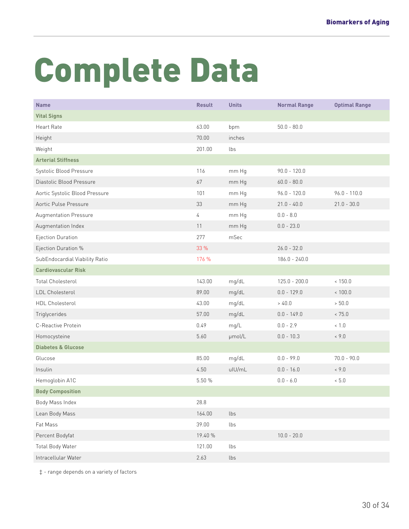# <span id="page-29-0"></span>Complete Data

| <b>Name</b>                    | <b>Result</b> | <b>Units</b> | <b>Normal Range</b> | <b>Optimal Range</b> |
|--------------------------------|---------------|--------------|---------------------|----------------------|
| <b>Vital Signs</b>             |               |              |                     |                      |
| <b>Heart Rate</b>              | 63.00         | bpm          | $50.0 - 80.0$       |                      |
| Height                         | 70.00         | inches       |                     |                      |
| Weight                         | 201.00        | lbs          |                     |                      |
| <b>Arterial Stiffness</b>      |               |              |                     |                      |
| Systolic Blood Pressure        | 116           | mm Hg        | $90.0 - 120.0$      |                      |
| Diastolic Blood Pressure       | 67            | mm Hg        | $60.0 - 80.0$       |                      |
| Aortic Systolic Blood Pressure | 101           | mm Hg        | $96.0 - 120.0$      | $96.0 - 110.0$       |
| Aortic Pulse Pressure          | 33            | mm Hg        | $21.0 - 40.0$       | $21.0 - 30.0$        |
| Augmentation Pressure          | 4             | mm Hg        | $0.0 - 8.0$         |                      |
| Augmentation Index             | 11            | mm Hg        | $0.0 - 23.0$        |                      |
| Ejection Duration              | 277           | mSec         |                     |                      |
| Ejection Duration %            | 33 %          |              | $26.0 - 32.0$       |                      |
| SubEndocardial Viability Ratio | 176 %         |              | $186.0 - 240.0$     |                      |
| <b>Cardiovascular Risk</b>     |               |              |                     |                      |
| <b>Total Cholesterol</b>       | 143.00        | mg/dL        | $125.0 - 200.0$     | < 150.0              |
| LDL Cholesterol                | 89.00         | mg/dL        | $0.0 - 129.0$       | < 100.0              |
| HDL Cholesterol                | 43.00         | mg/dL        | > 40.0              | > 50.0               |
| Triglycerides                  | 57.00         | mg/dL        | $0.0 - 149.0$       | < 75.0               |
| C-Reactive Protein             | 0.49          | mg/L         | $0.0 - 2.9$         | < 1.0                |
| Homocysteine                   | 5.60          | µmol/L       | $0.0 - 10.3$        | ~< 9.0               |
| <b>Diabetes &amp; Glucose</b>  |               |              |                     |                      |
| Glucose                        | 85.00         | mg/dL        | $0.0 - 99.0$        | $70.0 - 90.0$        |
| Insulin                        | 4.50          | ulU/mL       | $0.0 - 16.0$        | ~< 9.0               |
| Hemoglobin A1C                 | 5.50 %        |              | $0.0 - 6.0$         | < 5.0                |
| <b>Body Composition</b>        |               |              |                     |                      |
| Body Mass Index                | 28.8          |              |                     |                      |
| Lean Body Mass                 | 164.00        | lbs          |                     |                      |
| Fat Mass                       | 39.00         | lbs          |                     |                      |
| Percent Bodyfat                | 19.40 %       |              | $10.0 - 20.0$       |                      |
| Total Body Water               | 121.00        | lbs          |                     |                      |
| Intracellular Water            | 2.63          | lbs          |                     |                      |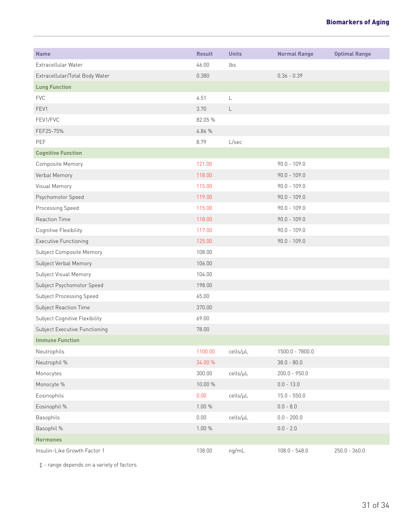| <b>Name</b>                    | <b>Result</b> | <b>Units</b> | <b>Normal Range</b> | <b>Optimal Range</b> |
|--------------------------------|---------------|--------------|---------------------|----------------------|
| Extracellular Water            | 46.00         | lbs          |                     |                      |
| Extracellular/Total Body Water | 0.380         |              | $0.36 - 0.39$       |                      |
| <b>Lung Function</b>           |               |              |                     |                      |
| <b>FVC</b>                     | 4.51          | $\mathsf L$  |                     |                      |
| FEV1                           | 3.70          | $\mathsf L$  |                     |                      |
| FEV1/FVC                       | 82.05 %       |              |                     |                      |
| FEF25-75%                      | 4.86 %        |              |                     |                      |
| PEF                            | 8.79          | L/sec        |                     |                      |
| <b>Cognitive Function</b>      |               |              |                     |                      |
| Composite Memory               | 121.00        |              | $90.0 - 109.0$      |                      |
| Verbal Memory                  | 118.00        |              | $90.0 - 109.0$      |                      |
| Visual Memory                  | 115.00        |              | $90.0 - 109.0$      |                      |
| Psychomotor Speed              | 119.00        |              | $90.0 - 109.0$      |                      |
| Processing Speed               | 115.00        |              | $90.0 - 109.0$      |                      |
| <b>Reaction Time</b>           | 118.00        |              | $90.0 - 109.0$      |                      |
| Cognitive Flexibility          | 117.00        |              | $90.0 - 109.0$      |                      |
| <b>Executive Functioning</b>   | 125.00        |              | $90.0 - 109.0$      |                      |
| Subject Composite Memory       | 108.00        |              |                     |                      |
| Subject Verbal Memory          | 106.00        |              |                     |                      |
| Subject Visual Memory          | 104.00        |              |                     |                      |
| Subject Psychomotor Speed      | 198.00        |              |                     |                      |
| Subject Processing Speed       | 65.00         |              |                     |                      |
| Subject Reaction Time          | 370.00        |              |                     |                      |
| Subject Cognitive Flexibility  | 69.00         |              |                     |                      |
| Subject Executive Functioning  | 78.00         |              |                     |                      |
| <b>Immune Function</b>         |               |              |                     |                      |
| Neutrophils                    | 1100.00       | cells/µL     | 1500.0 - 7800.0     |                      |
| Neutrophil %                   | 34.00 %       |              | $38.0 - 80.0$       |                      |
| Monocytes                      | 300.00        | cells/µL     | $200.0 - 950.0$     |                      |
| Monocyte %                     | 10.00 %       |              | $0.0 - 13.0$        |                      |
| Eosinophils                    | 0.00          | cells/µL     | $15.0 - 550.0$      |                      |
| Eosinophil %                   | 1.00 %        |              | $0.0 - 8.0$         |                      |
| Basophils                      | $0.00\,$      | cells/µL     | $0.0 - 200.0$       |                      |
| Basophil %                     | 1.00 %        |              | $0.0 - 2.0$         |                      |
| <b>Hormones</b>                |               |              |                     |                      |
| Insulin-Like Growth Factor 1   | 138.00        | ng/mL        | $108.0 - 548.0$     | $250.0 - 360.0$      |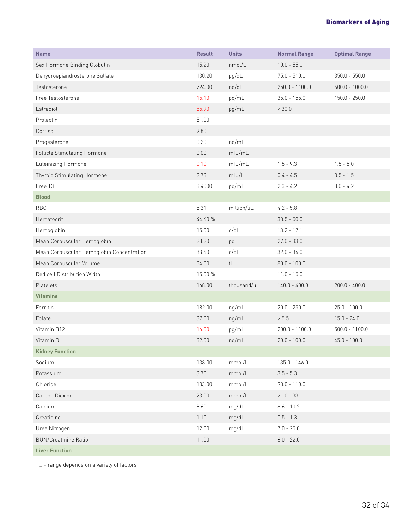| <b>Name</b>                               | <b>Result</b> | <b>Units</b>           | <b>Normal Range</b> | <b>Optimal Range</b> |
|-------------------------------------------|---------------|------------------------|---------------------|----------------------|
| Sex Hormone Binding Globulin              | 15.20         | nmol/L                 | $10.0 - 55.0$       |                      |
| Dehydroepiandrosterone Sulfate            | 130.20        | $\mu$ g/dL             | $75.0 - 510.0$      | $350.0 - 550.0$      |
| Testosterone                              | 724.00        | ng/dL                  | 250.0 - 1100.0      | $600.0 - 1000.0$     |
| Free Testosterone                         | 15.10         | pg/mL                  | $35.0 - 155.0$      | $150.0 - 250.0$      |
| Estradiol                                 | 55.90         | pg/mL                  | < 30.0              |                      |
| Prolactin                                 | 51.00         |                        |                     |                      |
| Cortisol                                  | 9.80          |                        |                     |                      |
| Progesterone                              | 0.20          | ng/mL                  |                     |                      |
| Follicle Stimulating Hormone              | 0.00          | $m$ IU/mL              |                     |                      |
| Luteinizing Hormone                       | 0.10          | $m$ IU/mL              | $1.5 - 9.3$         | $1.5 - 5.0$          |
| Thyroid Stimulating Hormone               | 2.73          | mIU/L                  | $0.4 - 4.5$         | $0.5 - 1.5$          |
| Free T3                                   | 3.4000        | pg/mL                  | $2.3 - 4.2$         | $3.0 - 4.2$          |
| <b>Blood</b>                              |               |                        |                     |                      |
| <b>RBC</b>                                | 5.31          | million/µL             | $4.2 - 5.8$         |                      |
| Hematocrit                                | 44.60 %       |                        | $38.5 - 50.0$       |                      |
| Hemoglobin                                | 15.00         | g/dL                   | $13.2 - 17.1$       |                      |
| Mean Corpuscular Hemoglobin               | 28.20         | pg                     | $27.0 - 33.0$       |                      |
| Mean Corpuscular Hemoglobin Concentration | 33.60         | g/dL                   | $32.0 - 36.0$       |                      |
| Mean Corpuscular Volume                   | 84.00         | $\mathsf{f}\mathsf{L}$ | $80.0 - 100.0$      |                      |
| Red cell Distribution Width               | 15.00 %       |                        | $11.0 - 15.0$       |                      |
| Platelets                                 | 168.00        | thousand/µL            | $140.0 - 400.0$     | $200.0 - 400.0$      |
| <b>Vitamins</b>                           |               |                        |                     |                      |
| Ferritin                                  | 182.00        | ng/mL                  | $20.0 - 250.0$      | $25.0 - 100.0$       |
| Folate                                    | 37.00         | ng/mL                  | > 5.5               | $15.0 - 24.0$        |
| Vitamin B12                               | 16.00         | pg/mL                  | 200.0 - 1100.0      | $500.0 - 1100.0$     |
| Vitamin D                                 | 32.00         | ng/mL                  | $20.0 - 100.0$      | $45.0 - 100.0$       |
| <b>Kidney Function</b>                    |               |                        |                     |                      |
| Sodium                                    | 138.00        | mmol/L                 | $135.0 - 146.0$     |                      |
| Potassium                                 | 3.70          | mmol/L                 | $3.5 - 5.3$         |                      |
| Chloride                                  | 103.00        | mmol/L                 | $98.0 - 110.0$      |                      |
| Carbon Dioxide                            | 23.00         | mmol/L                 | $21.0 - 33.0$       |                      |
| Calcium                                   | 8.60          | mg/dL                  | $8.6 - 10.2$        |                      |
| Creatinine                                | 1.10          | mg/dL                  | $0.5 - 1.3$         |                      |
| Urea Nitrogen                             | 12.00         | mg/dL                  | $7.0 - 25.0$        |                      |
| <b>BUN/Creatinine Ratio</b>               | 11.00         |                        | $6.0 - 22.0$        |                      |
| <b>Liver Function</b>                     |               |                        |                     |                      |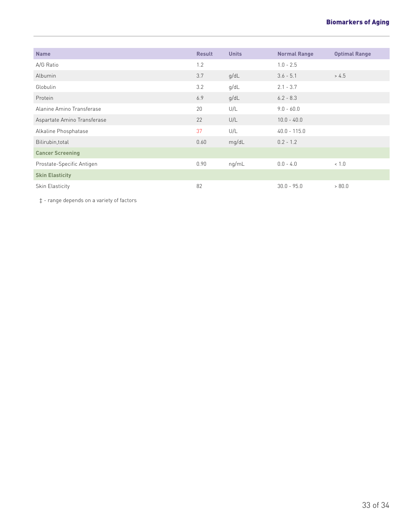| <b>Name</b>                 | <b>Result</b> | <b>Units</b> | <b>Normal Range</b> | <b>Optimal Range</b> |
|-----------------------------|---------------|--------------|---------------------|----------------------|
| A/G Ratio                   | 1.2           |              | $1.0 - 2.5$         |                      |
| Albumin                     | 3.7           | q/dL         | $3.6 - 5.1$         | > 4.5                |
| Globulin                    | 3.2           | q/dL         | $2.1 - 3.7$         |                      |
| Protein                     | 6.9           | q/dL         | $6.2 - 8.3$         |                      |
| Alanine Amino Transferase   | 20            | U/L          | $9.0 - 60.0$        |                      |
| Aspartate Amino Transferase | 22            | U/L          | $10.0 - 40.0$       |                      |
| Alkaline Phosphatase        | 37            | U/L          | $40.0 - 115.0$      |                      |
| Bilirubin, total            | 0.60          | mg/dL        | $0.2 - 1.2$         |                      |
| <b>Cancer Screening</b>     |               |              |                     |                      |
| Prostate-Specific Antigen   | 0.90          | ng/mL        | $0.0 - 4.0$         | 1.0                  |
| <b>Skin Elasticity</b>      |               |              |                     |                      |
| Skin Elasticity             | 82            |              | $30.0 - 95.0$       | > 80.0               |